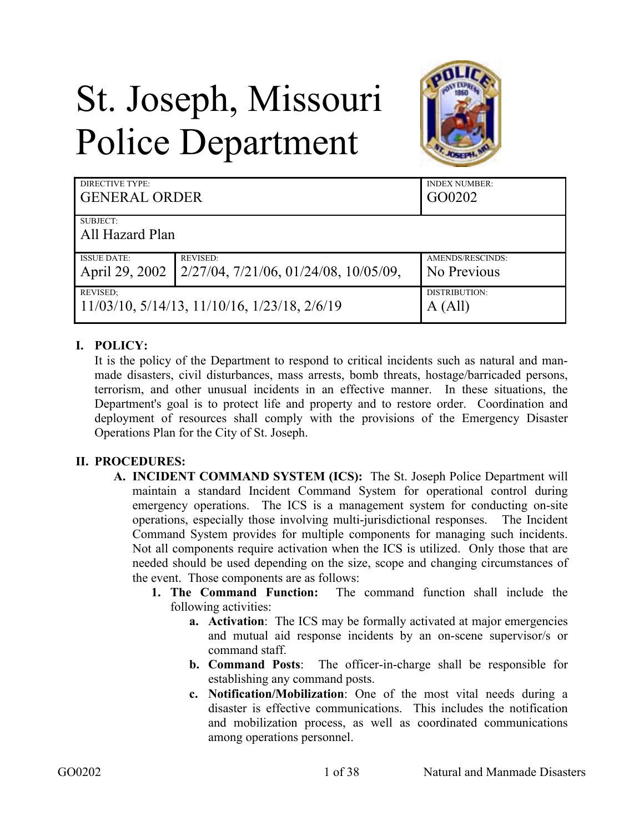# St. Joseph, Missouri Police Department



| DIRECTIVE TYPE:                                            |                                                   | <b>INDEX NUMBER:</b> |  |
|------------------------------------------------------------|---------------------------------------------------|----------------------|--|
| <b>GENERAL ORDER</b>                                       |                                                   | GO0202               |  |
| SUBJECT:<br>All Hazard Plan                                |                                                   |                      |  |
| <b>ISSUE DATE:</b>                                         | <b>REVISED:</b>                                   | AMENDS/RESCINDS:     |  |
| April 29, 2002                                             | $2/27/04$ , $7/21/06$ , $01/24/08$ , $10/05/09$ , | No Previous          |  |
| <b>REVISED:</b>                                            |                                                   | DISTRIBUTION:        |  |
| $11/03/10$ , $5/14/13$ , $11/10/16$ , $1/23/18$ , $2/6/19$ |                                                   | A (All)              |  |

# **I. POLICY:**

It is the policy of the Department to respond to critical incidents such as natural and manmade disasters, civil disturbances, mass arrests, bomb threats, hostage/barricaded persons, terrorism, and other unusual incidents in an effective manner. In these situations, the Department's goal is to protect life and property and to restore order. Coordination and deployment of resources shall comply with the provisions of the Emergency Disaster Operations Plan for the City of St. Joseph.

# **II. PROCEDURES:**

- **A. INCIDENT COMMAND SYSTEM (ICS):** The St. Joseph Police Department will maintain a standard Incident Command System for operational control during emergency operations. The ICS is a management system for conducting on-site operations, especially those involving multi-jurisdictional responses. The Incident Command System provides for multiple components for managing such incidents. Not all components require activation when the ICS is utilized. Only those that are needed should be used depending on the size, scope and changing circumstances of the event. Those components are as follows:
	- **1. The Command Function:** The command function shall include the following activities:
		- **a. Activation**: The ICS may be formally activated at major emergencies and mutual aid response incidents by an on-scene supervisor/s or command staff.
		- **b. Command Posts**: The officer-in-charge shall be responsible for establishing any command posts.
		- **c. Notification/Mobilization**: One of the most vital needs during a disaster is effective communications. This includes the notification and mobilization process, as well as coordinated communications among operations personnel.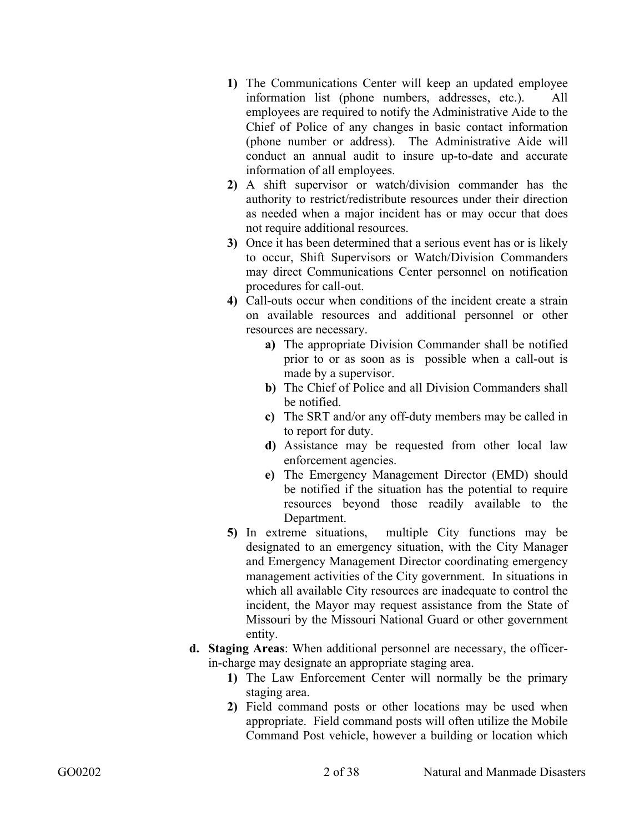- **1)** The Communications Center will keep an updated employee information list (phone numbers, addresses, etc.). All employees are required to notify the Administrative Aide to the Chief of Police of any changes in basic contact information (phone number or address). The Administrative Aide will conduct an annual audit to insure up-to-date and accurate information of all employees.
- **2)** A shift supervisor or watch/division commander has the authority to restrict/redistribute resources under their direction as needed when a major incident has or may occur that does not require additional resources.
- **3)** Once it has been determined that a serious event has or is likely to occur, Shift Supervisors or Watch/Division Commanders may direct Communications Center personnel on notification procedures for call-out.
- **4)** Call-outs occur when conditions of the incident create a strain on available resources and additional personnel or other resources are necessary.
	- **a)** The appropriate Division Commander shall be notified prior to or as soon as is possible when a call-out is made by a supervisor.
	- **b)** The Chief of Police and all Division Commanders shall be notified.
	- **c)** The SRT and/or any off-duty members may be called in to report for duty.
	- **d)** Assistance may be requested from other local law enforcement agencies.
	- **e)** The Emergency Management Director (EMD) should be notified if the situation has the potential to require resources beyond those readily available to the Department.
- **5)** In extreme situations, multiple City functions may be designated to an emergency situation, with the City Manager and Emergency Management Director coordinating emergency management activities of the City government. In situations in which all available City resources are inadequate to control the incident, the Mayor may request assistance from the State of Missouri by the Missouri National Guard or other government entity.
- **d. Staging Areas**: When additional personnel are necessary, the officerin-charge may designate an appropriate staging area.
	- **1)** The Law Enforcement Center will normally be the primary staging area.
	- **2)** Field command posts or other locations may be used when appropriate. Field command posts will often utilize the Mobile Command Post vehicle, however a building or location which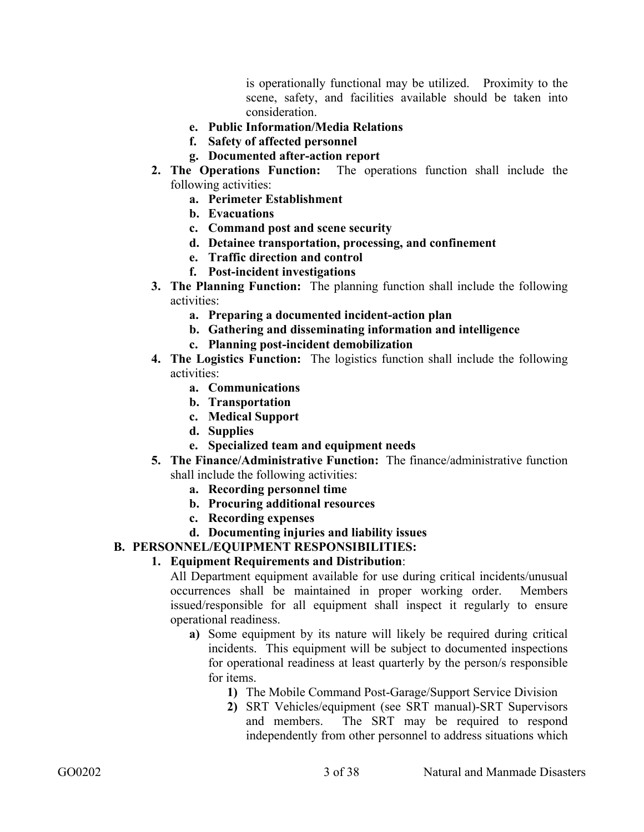is operationally functional may be utilized. Proximity to the scene, safety, and facilities available should be taken into consideration.

- **e. Public Information/Media Relations**
- **f. Safety of affected personnel**
- **g. Documented after-action report**
- **2. The Operations Function:** The operations function shall include the following activities:
	- **a. Perimeter Establishment**
	- **b. Evacuations**
	- **c. Command post and scene security**
	- **d. Detainee transportation, processing, and confinement**
	- **e. Traffic direction and control**
	- **f. Post-incident investigations**
- **3. The Planning Function:** The planning function shall include the following activities:
	- **a. Preparing a documented incident-action plan**
	- **b. Gathering and disseminating information and intelligence**
	- **c. Planning post-incident demobilization**
- **4. The Logistics Function:** The logistics function shall include the following activities:
	- **a. Communications**
	- **b. Transportation**
	- **c. Medical Support**
	- **d. Supplies**
	- **e. Specialized team and equipment needs**
- **5. The Finance/Administrative Function:** The finance/administrative function shall include the following activities:
	- **a. Recording personnel time**
	- **b. Procuring additional resources**
	- **c. Recording expenses**
	- **d. Documenting injuries and liability issues**

#### **B. PERSONNEL/EQUIPMENT RESPONSIBILITIES:**

#### **1. Equipment Requirements and Distribution**:

All Department equipment available for use during critical incidents/unusual occurrences shall be maintained in proper working order. Members issued/responsible for all equipment shall inspect it regularly to ensure operational readiness.

- **a)** Some equipment by its nature will likely be required during critical incidents. This equipment will be subject to documented inspections for operational readiness at least quarterly by the person/s responsible for items.
	- **1)** The Mobile Command Post-Garage/Support Service Division
	- **2)** SRT Vehicles/equipment (see SRT manual)-SRT Supervisors and members. The SRT may be required to respond independently from other personnel to address situations which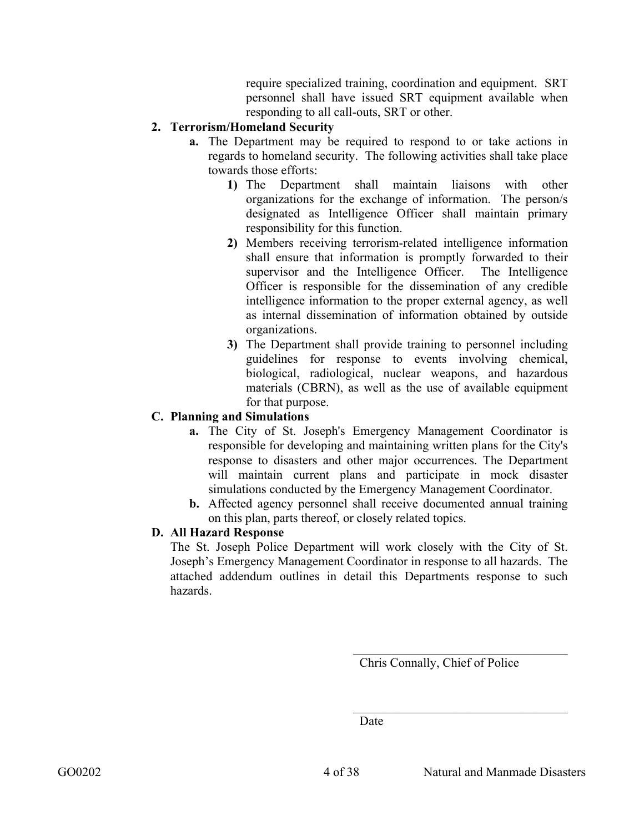require specialized training, coordination and equipment. SRT personnel shall have issued SRT equipment available when responding to all call-outs, SRT or other.

## **2. Terrorism/Homeland Security**

- **a.** The Department may be required to respond to or take actions in regards to homeland security. The following activities shall take place towards those efforts:
	- **1)** The Department shall maintain liaisons with other organizations for the exchange of information. The person/s designated as Intelligence Officer shall maintain primary responsibility for this function.
	- **2)** Members receiving terrorism-related intelligence information shall ensure that information is promptly forwarded to their supervisor and the Intelligence Officer. The Intelligence Officer is responsible for the dissemination of any credible intelligence information to the proper external agency, as well as internal dissemination of information obtained by outside organizations.
	- **3)** The Department shall provide training to personnel including guidelines for response to events involving chemical, biological, radiological, nuclear weapons, and hazardous materials (CBRN), as well as the use of available equipment for that purpose.

## **C. Planning and Simulations**

- **a.** The City of St. Joseph's Emergency Management Coordinator is responsible for developing and maintaining written plans for the City's response to disasters and other major occurrences. The Department will maintain current plans and participate in mock disaster simulations conducted by the Emergency Management Coordinator.
- **b.** Affected agency personnel shall receive documented annual training on this plan, parts thereof, or closely related topics.

#### **D. All Hazard Response**

The St. Joseph Police Department will work closely with the City of St. Joseph's Emergency Management Coordinator in response to all hazards. The attached addendum outlines in detail this Departments response to such hazards.

Chris Connally, Chief of Police

\_\_\_\_\_\_\_\_\_\_\_\_\_\_\_\_\_\_\_\_\_\_\_\_\_\_\_\_\_\_\_\_\_\_

Date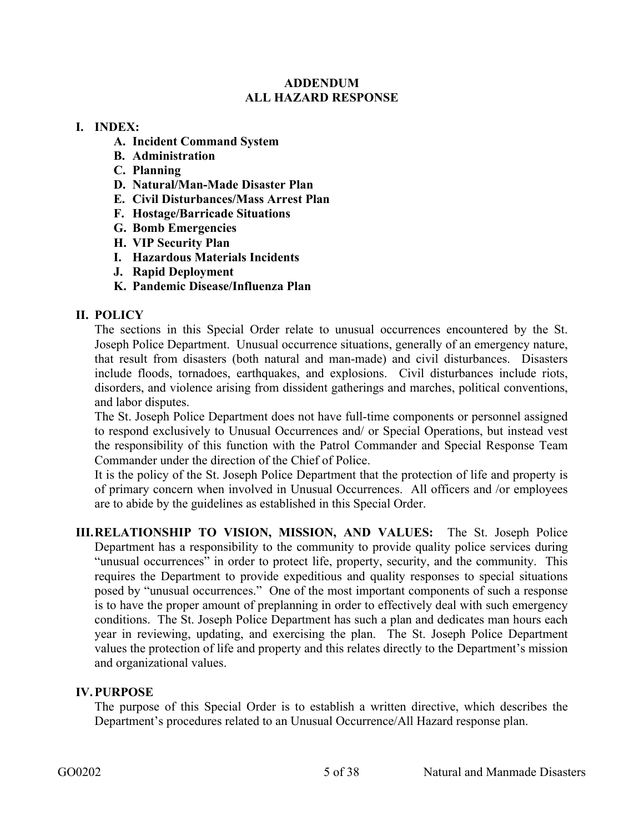#### **ADDENDUM ALL HAZARD RESPONSE**

#### **I. INDEX:**

- **A. Incident Command System**
- **B. Administration**
- **C. Planning**
- **D. Natural/Man-Made Disaster Plan**
- **E. Civil Disturbances/Mass Arrest Plan**
- **F. Hostage/Barricade Situations**
- **G. Bomb Emergencies**
- **H. VIP Security Plan**
- **I. Hazardous Materials Incidents**
- **J. Rapid Deployment**
- **K. Pandemic Disease/Influenza Plan**

#### **II. POLICY**

The sections in this Special Order relate to unusual occurrences encountered by the St. Joseph Police Department. Unusual occurrence situations, generally of an emergency nature, that result from disasters (both natural and man-made) and civil disturbances. Disasters include floods, tornadoes, earthquakes, and explosions. Civil disturbances include riots, disorders, and violence arising from dissident gatherings and marches, political conventions, and labor disputes.

The St. Joseph Police Department does not have full-time components or personnel assigned to respond exclusively to Unusual Occurrences and/ or Special Operations, but instead vest the responsibility of this function with the Patrol Commander and Special Response Team Commander under the direction of the Chief of Police.

It is the policy of the St. Joseph Police Department that the protection of life and property is of primary concern when involved in Unusual Occurrences. All officers and /or employees are to abide by the guidelines as established in this Special Order.

**III.RELATIONSHIP TO VISION, MISSION, AND VALUES:** The St. Joseph Police Department has a responsibility to the community to provide quality police services during "unusual occurrences" in order to protect life, property, security, and the community. This requires the Department to provide expeditious and quality responses to special situations posed by "unusual occurrences." One of the most important components of such a response is to have the proper amount of preplanning in order to effectively deal with such emergency conditions. The St. Joseph Police Department has such a plan and dedicates man hours each year in reviewing, updating, and exercising the plan. The St. Joseph Police Department values the protection of life and property and this relates directly to the Department's mission and organizational values.

#### **IV.PURPOSE**

The purpose of this Special Order is to establish a written directive, which describes the Department's procedures related to an Unusual Occurrence/All Hazard response plan.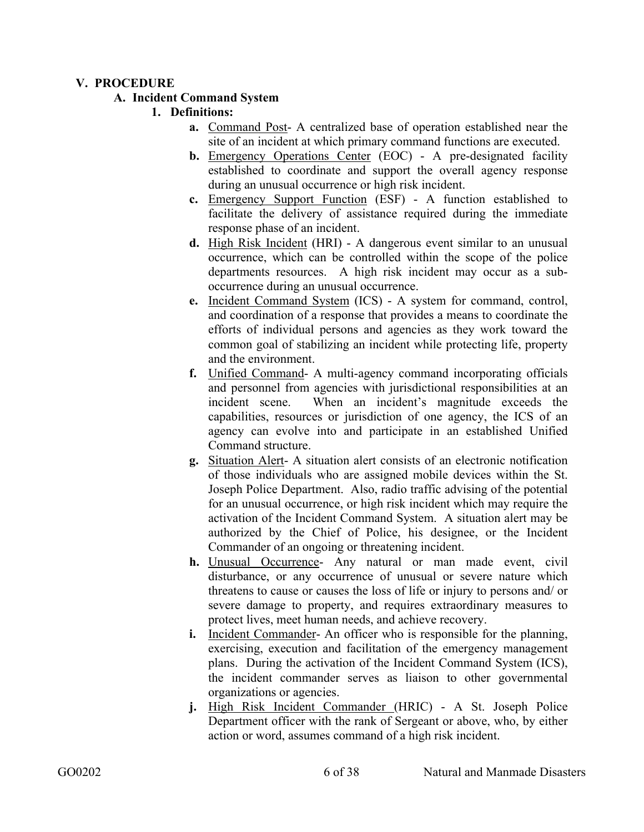#### **V. PROCEDURE**

#### **A. Incident Command System**

#### **1. Definitions:**

- **a.** Command Post- A centralized base of operation established near the site of an incident at which primary command functions are executed.
- **b.** Emergency Operations Center (EOC) A pre-designated facility established to coordinate and support the overall agency response during an unusual occurrence or high risk incident.
- **c.** Emergency Support Function (ESF) A function established to facilitate the delivery of assistance required during the immediate response phase of an incident.
- **d.** High Risk Incident (HRI) A dangerous event similar to an unusual occurrence, which can be controlled within the scope of the police departments resources. A high risk incident may occur as a suboccurrence during an unusual occurrence.
- **e.** Incident Command System (ICS) A system for command, control, and coordination of a response that provides a means to coordinate the efforts of individual persons and agencies as they work toward the common goal of stabilizing an incident while protecting life, property and the environment.
- **f.** Unified Command- A multi-agency command incorporating officials and personnel from agencies with jurisdictional responsibilities at an incident scene. When an incident's magnitude exceeds the capabilities, resources or jurisdiction of one agency, the ICS of an agency can evolve into and participate in an established Unified Command structure.
- **g.** Situation Alert- A situation alert consists of an electronic notification of those individuals who are assigned mobile devices within the St. Joseph Police Department. Also, radio traffic advising of the potential for an unusual occurrence, or high risk incident which may require the activation of the Incident Command System. A situation alert may be authorized by the Chief of Police, his designee, or the Incident Commander of an ongoing or threatening incident.
- **h.** Unusual Occurrence- Any natural or man made event, civil disturbance, or any occurrence of unusual or severe nature which threatens to cause or causes the loss of life or injury to persons and/ or severe damage to property, and requires extraordinary measures to protect lives, meet human needs, and achieve recovery.
- **i.** Incident Commander- An officer who is responsible for the planning, exercising, execution and facilitation of the emergency management plans. During the activation of the Incident Command System (ICS), the incident commander serves as liaison to other governmental organizations or agencies.
- **j.** High Risk Incident Commander (HRIC) A St. Joseph Police Department officer with the rank of Sergeant or above, who, by either action or word, assumes command of a high risk incident.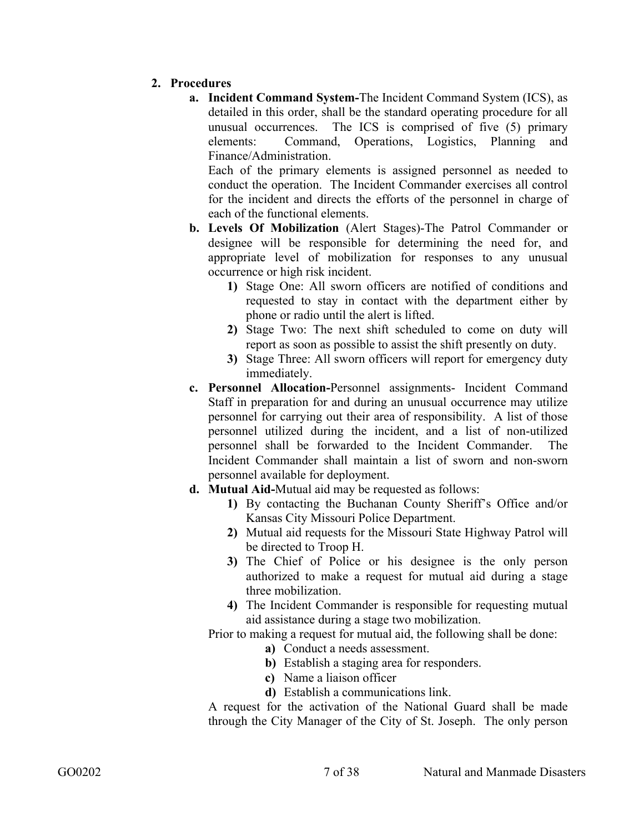- **2. Procedures** 
	- **a. Incident Command System-**The Incident Command System (ICS), as detailed in this order, shall be the standard operating procedure for all unusual occurrences. The ICS is comprised of five (5) primary elements: Command, Operations, Logistics, Planning and Finance/Administration.

Each of the primary elements is assigned personnel as needed to conduct the operation. The Incident Commander exercises all control for the incident and directs the efforts of the personnel in charge of each of the functional elements.

- **b. Levels Of Mobilization** (Alert Stages)-The Patrol Commander or designee will be responsible for determining the need for, and appropriate level of mobilization for responses to any unusual occurrence or high risk incident.
	- **1)** Stage One: All sworn officers are notified of conditions and requested to stay in contact with the department either by phone or radio until the alert is lifted.
	- **2)** Stage Two: The next shift scheduled to come on duty will report as soon as possible to assist the shift presently on duty.
	- **3)** Stage Three: All sworn officers will report for emergency duty immediately.
- **c. Personnel Allocation-**Personnel assignments- Incident Command Staff in preparation for and during an unusual occurrence may utilize personnel for carrying out their area of responsibility. A list of those personnel utilized during the incident, and a list of non-utilized personnel shall be forwarded to the Incident Commander. The Incident Commander shall maintain a list of sworn and non-sworn personnel available for deployment.
- **d. Mutual Aid-**Mutual aid may be requested as follows:
	- **1)** By contacting the Buchanan County Sheriff's Office and/or Kansas City Missouri Police Department.
	- **2)** Mutual aid requests for the Missouri State Highway Patrol will be directed to Troop H.
	- **3)** The Chief of Police or his designee is the only person authorized to make a request for mutual aid during a stage three mobilization.
	- **4)** The Incident Commander is responsible for requesting mutual aid assistance during a stage two mobilization.

Prior to making a request for mutual aid, the following shall be done:

- **a)** Conduct a needs assessment.
- **b)** Establish a staging area for responders.
- **c)** Name a liaison officer
- **d)** Establish a communications link.

A request for the activation of the National Guard shall be made through the City Manager of the City of St. Joseph. The only person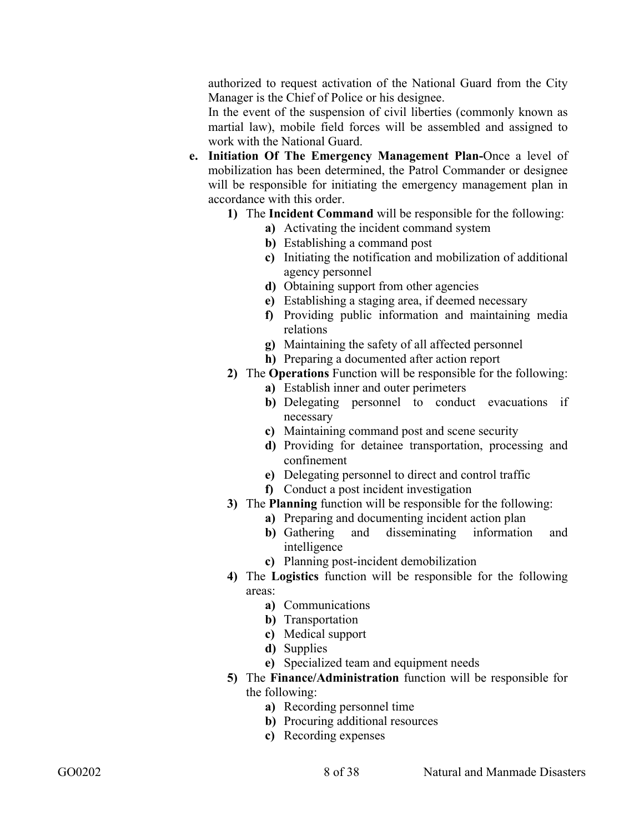authorized to request activation of the National Guard from the City Manager is the Chief of Police or his designee.

In the event of the suspension of civil liberties (commonly known as martial law), mobile field forces will be assembled and assigned to work with the National Guard.

- **e. Initiation Of The Emergency Management Plan-**Once a level of mobilization has been determined, the Patrol Commander or designee will be responsible for initiating the emergency management plan in accordance with this order.
	- **1)** The **Incident Command** will be responsible for the following:
		- **a)** Activating the incident command system
		- **b)** Establishing a command post
		- **c)** Initiating the notification and mobilization of additional agency personnel
		- **d)** Obtaining support from other agencies
		- **e)** Establishing a staging area, if deemed necessary
		- **f)** Providing public information and maintaining media relations
		- **g)** Maintaining the safety of all affected personnel
		- **h)** Preparing a documented after action report

#### **2)** The **Operations** Function will be responsible for the following:

- **a)** Establish inner and outer perimeters
- **b)** Delegating personnel to conduct evacuations if necessary
- **c)** Maintaining command post and scene security
- **d)** Providing for detainee transportation, processing and confinement
- **e)** Delegating personnel to direct and control traffic
- **f)** Conduct a post incident investigation
- **3)** The **Planning** function will be responsible for the following:
	- **a)** Preparing and documenting incident action plan
	- **b)** Gathering and disseminating information and intelligence
	- **c)** Planning post-incident demobilization
- **4)** The **Logistics** function will be responsible for the following areas:
	- **a)** Communications
	- **b)** Transportation
	- **c)** Medical support
	- **d)** Supplies
	- **e)** Specialized team and equipment needs
- **5)** The **Finance/Administration** function will be responsible for the following:
	- **a)** Recording personnel time
	- **b)** Procuring additional resources
	- **c)** Recording expenses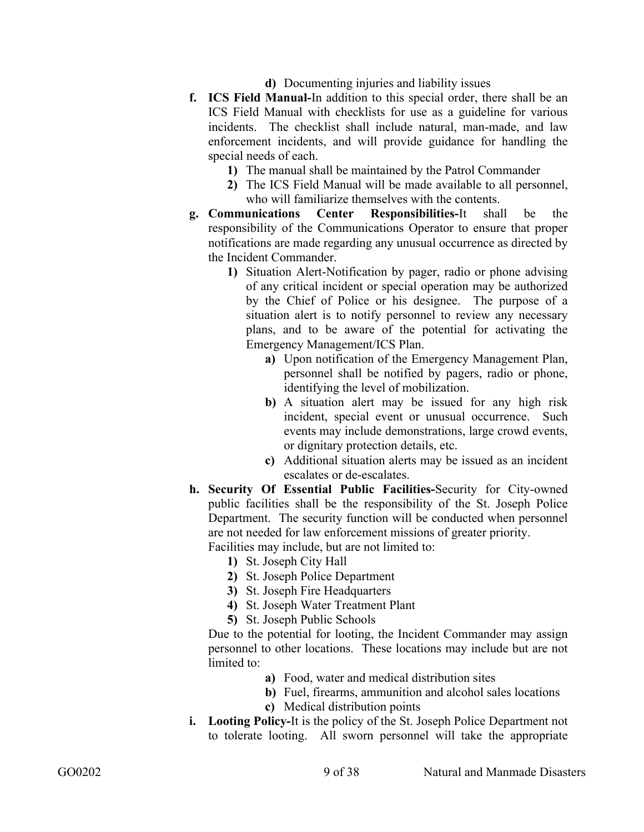- **d)** Documenting injuries and liability issues
- **f. ICS Field Manual-**In addition to this special order, there shall be an ICS Field Manual with checklists for use as a guideline for various incidents. The checklist shall include natural, man-made, and law enforcement incidents, and will provide guidance for handling the special needs of each.
	- **1)** The manual shall be maintained by the Patrol Commander
	- **2)** The ICS Field Manual will be made available to all personnel, who will familiarize themselves with the contents.
- **g. Communications Center Responsibilities-**It shall be the responsibility of the Communications Operator to ensure that proper notifications are made regarding any unusual occurrence as directed by the Incident Commander.
	- **1)** Situation Alert-Notification by pager, radio or phone advising of any critical incident or special operation may be authorized by the Chief of Police or his designee. The purpose of a situation alert is to notify personnel to review any necessary plans, and to be aware of the potential for activating the Emergency Management/ICS Plan.
		- **a)** Upon notification of the Emergency Management Plan, personnel shall be notified by pagers, radio or phone, identifying the level of mobilization.
		- **b)** A situation alert may be issued for any high risk incident, special event or unusual occurrence. Such events may include demonstrations, large crowd events, or dignitary protection details, etc.
		- **c)** Additional situation alerts may be issued as an incident escalates or de-escalates.
- **h. Security Of Essential Public Facilities-**Security for City-owned public facilities shall be the responsibility of the St. Joseph Police Department. The security function will be conducted when personnel are not needed for law enforcement missions of greater priority.

Facilities may include, but are not limited to:

- **1)** St. Joseph City Hall
- **2)** St. Joseph Police Department
- **3)** St. Joseph Fire Headquarters
- **4)** St. Joseph Water Treatment Plant
- **5)** St. Joseph Public Schools

Due to the potential for looting, the Incident Commander may assign personnel to other locations. These locations may include but are not limited to:

- **a)** Food, water and medical distribution sites
- **b)** Fuel, firearms, ammunition and alcohol sales locations
- **c)** Medical distribution points
- **i. Looting Policy-**It is the policy of the St. Joseph Police Department not to tolerate looting. All sworn personnel will take the appropriate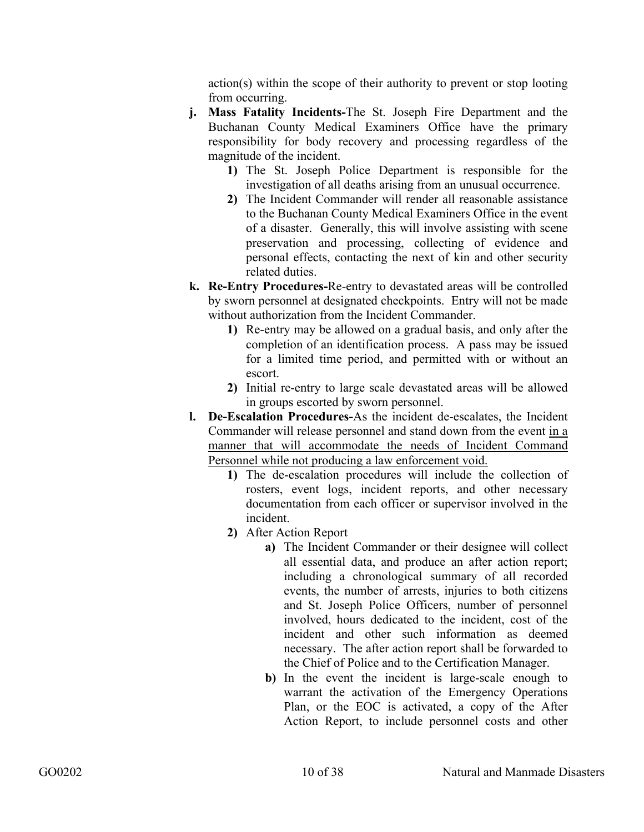action(s) within the scope of their authority to prevent or stop looting from occurring.

- **j. Mass Fatality Incidents-**The St. Joseph Fire Department and the Buchanan County Medical Examiners Office have the primary responsibility for body recovery and processing regardless of the magnitude of the incident.
	- **1)** The St. Joseph Police Department is responsible for the investigation of all deaths arising from an unusual occurrence.
	- **2)** The Incident Commander will render all reasonable assistance to the Buchanan County Medical Examiners Office in the event of a disaster. Generally, this will involve assisting with scene preservation and processing, collecting of evidence and personal effects, contacting the next of kin and other security related duties.
- **k. Re-Entry Procedures-**Re-entry to devastated areas will be controlled by sworn personnel at designated checkpoints. Entry will not be made without authorization from the Incident Commander.
	- **1)** Re-entry may be allowed on a gradual basis, and only after the completion of an identification process. A pass may be issued for a limited time period, and permitted with or without an escort.
	- **2)** Initial re-entry to large scale devastated areas will be allowed in groups escorted by sworn personnel.
- **l. De-Escalation Procedures-**As the incident de-escalates, the Incident Commander will release personnel and stand down from the event in a manner that will accommodate the needs of Incident Command Personnel while not producing a law enforcement void.
	- **1)** The de-escalation procedures will include the collection of rosters, event logs, incident reports, and other necessary documentation from each officer or supervisor involved in the incident.
	- **2)** After Action Report
		- **a)** The Incident Commander or their designee will collect all essential data, and produce an after action report; including a chronological summary of all recorded events, the number of arrests, injuries to both citizens and St. Joseph Police Officers, number of personnel involved, hours dedicated to the incident, cost of the incident and other such information as deemed necessary. The after action report shall be forwarded to the Chief of Police and to the Certification Manager.
		- **b)** In the event the incident is large-scale enough to warrant the activation of the Emergency Operations Plan, or the EOC is activated, a copy of the After Action Report, to include personnel costs and other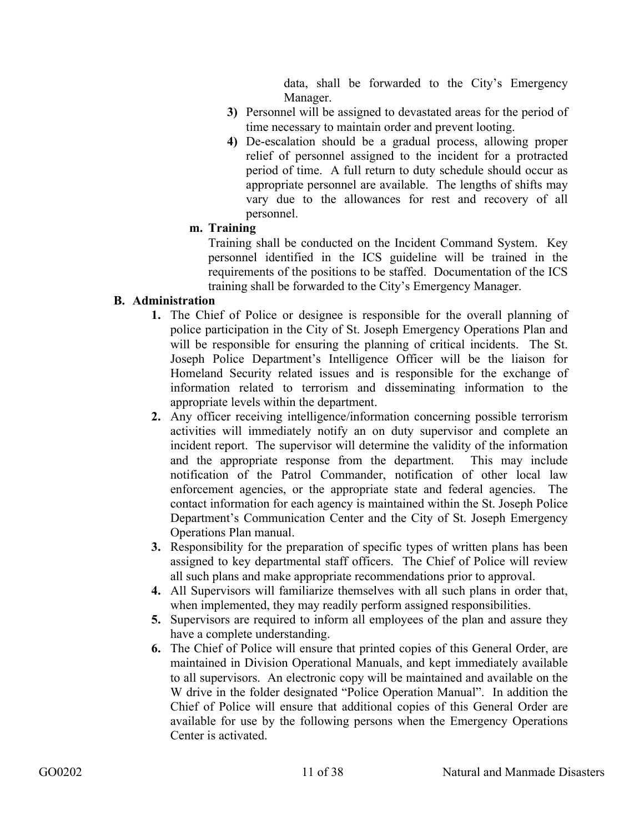data, shall be forwarded to the City's Emergency Manager.

- **3)** Personnel will be assigned to devastated areas for the period of time necessary to maintain order and prevent looting.
- **4)** De-escalation should be a gradual process, allowing proper relief of personnel assigned to the incident for a protracted period of time. A full return to duty schedule should occur as appropriate personnel are available. The lengths of shifts may vary due to the allowances for rest and recovery of all personnel.

#### **m. Training**

Training shall be conducted on the Incident Command System. Key personnel identified in the ICS guideline will be trained in the requirements of the positions to be staffed. Documentation of the ICS training shall be forwarded to the City's Emergency Manager.

# **B. Administration**

- **1.** The Chief of Police or designee is responsible for the overall planning of police participation in the City of St. Joseph Emergency Operations Plan and will be responsible for ensuring the planning of critical incidents. The St. Joseph Police Department's Intelligence Officer will be the liaison for Homeland Security related issues and is responsible for the exchange of information related to terrorism and disseminating information to the appropriate levels within the department.
- **2.** Any officer receiving intelligence/information concerning possible terrorism activities will immediately notify an on duty supervisor and complete an incident report. The supervisor will determine the validity of the information and the appropriate response from the department. This may include notification of the Patrol Commander, notification of other local law enforcement agencies, or the appropriate state and federal agencies. The contact information for each agency is maintained within the St. Joseph Police Department's Communication Center and the City of St. Joseph Emergency Operations Plan manual.
- **3.** Responsibility for the preparation of specific types of written plans has been assigned to key departmental staff officers. The Chief of Police will review all such plans and make appropriate recommendations prior to approval.
- **4.** All Supervisors will familiarize themselves with all such plans in order that, when implemented, they may readily perform assigned responsibilities.
- **5.** Supervisors are required to inform all employees of the plan and assure they have a complete understanding.
- **6.** The Chief of Police will ensure that printed copies of this General Order, are maintained in Division Operational Manuals, and kept immediately available to all supervisors. An electronic copy will be maintained and available on the W drive in the folder designated "Police Operation Manual". In addition the Chief of Police will ensure that additional copies of this General Order are available for use by the following persons when the Emergency Operations Center is activated.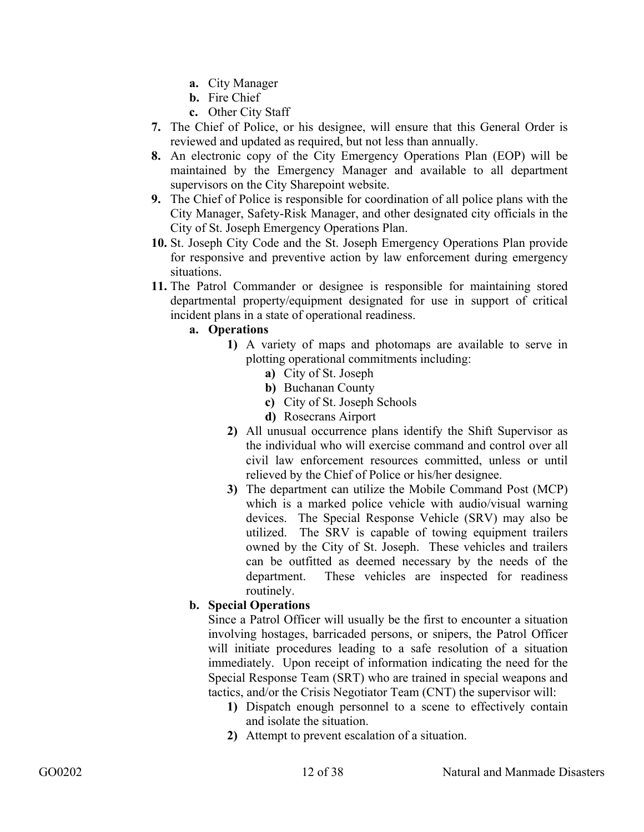- **a.** City Manager
- **b.** Fire Chief
- **c.** Other City Staff
- **7.** The Chief of Police, or his designee, will ensure that this General Order is reviewed and updated as required, but not less than annually.
- **8.** An electronic copy of the City Emergency Operations Plan (EOP) will be maintained by the Emergency Manager and available to all department supervisors on the City Sharepoint website.
- **9.** The Chief of Police is responsible for coordination of all police plans with the City Manager, Safety-Risk Manager, and other designated city officials in the City of St. Joseph Emergency Operations Plan.
- **10.** St. Joseph City Code and the St. Joseph Emergency Operations Plan provide for responsive and preventive action by law enforcement during emergency situations.
- **11.** The Patrol Commander or designee is responsible for maintaining stored departmental property/equipment designated for use in support of critical incident plans in a state of operational readiness.

#### **a. Operations**

- **1)** A variety of maps and photomaps are available to serve in plotting operational commitments including:
	- **a)** City of St. Joseph
	- **b)** Buchanan County
	- **c)** City of St. Joseph Schools
	- **d)** Rosecrans Airport
- **2)** All unusual occurrence plans identify the Shift Supervisor as the individual who will exercise command and control over all civil law enforcement resources committed, unless or until relieved by the Chief of Police or his/her designee.
- **3)** The department can utilize the Mobile Command Post (MCP) which is a marked police vehicle with audio/visual warning devices. The Special Response Vehicle (SRV) may also be utilized. The SRV is capable of towing equipment trailers owned by the City of St. Joseph. These vehicles and trailers can be outfitted as deemed necessary by the needs of the department. These vehicles are inspected for readiness routinely.

# **b. Special Operations**

Since a Patrol Officer will usually be the first to encounter a situation involving hostages, barricaded persons, or snipers, the Patrol Officer will initiate procedures leading to a safe resolution of a situation immediately. Upon receipt of information indicating the need for the Special Response Team (SRT) who are trained in special weapons and tactics, and/or the Crisis Negotiator Team (CNT) the supervisor will:

- **1)** Dispatch enough personnel to a scene to effectively contain and isolate the situation.
- **2)** Attempt to prevent escalation of a situation.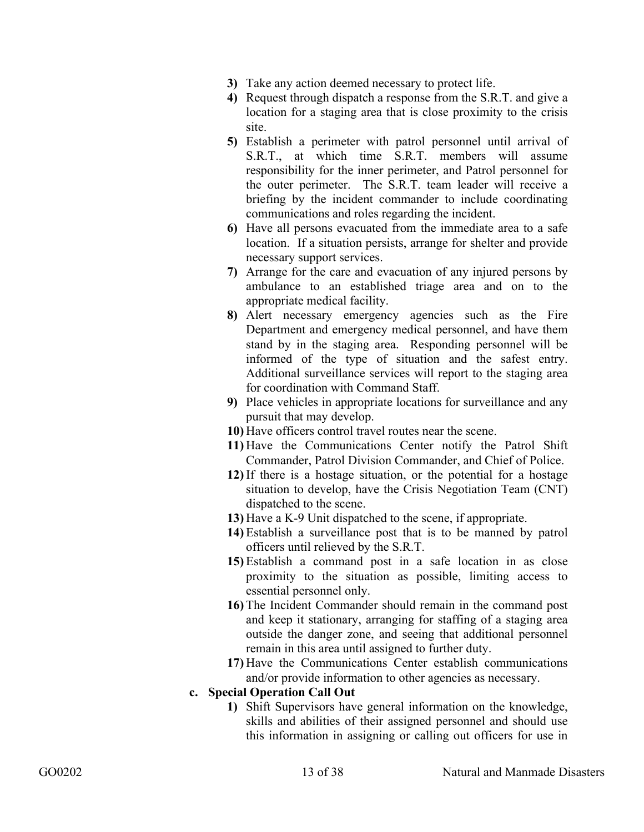- **3)** Take any action deemed necessary to protect life.
- **4)** Request through dispatch a response from the S.R.T. and give a location for a staging area that is close proximity to the crisis site.
- **5)** Establish a perimeter with patrol personnel until arrival of S.R.T., at which time S.R.T. members will assume responsibility for the inner perimeter, and Patrol personnel for the outer perimeter. The S.R.T. team leader will receive a briefing by the incident commander to include coordinating communications and roles regarding the incident.
- **6)** Have all persons evacuated from the immediate area to a safe location. If a situation persists, arrange for shelter and provide necessary support services.
- **7)** Arrange for the care and evacuation of any injured persons by ambulance to an established triage area and on to the appropriate medical facility.
- **8)** Alert necessary emergency agencies such as the Fire Department and emergency medical personnel, and have them stand by in the staging area. Responding personnel will be informed of the type of situation and the safest entry. Additional surveillance services will report to the staging area for coordination with Command Staff.
- **9)** Place vehicles in appropriate locations for surveillance and any pursuit that may develop.
- **10)** Have officers control travel routes near the scene.
- **11)** Have the Communications Center notify the Patrol Shift Commander, Patrol Division Commander, and Chief of Police.
- **12)** If there is a hostage situation, or the potential for a hostage situation to develop, have the Crisis Negotiation Team (CNT) dispatched to the scene.
- **13)** Have a K-9 Unit dispatched to the scene, if appropriate.
- **14)** Establish a surveillance post that is to be manned by patrol officers until relieved by the S.R.T.
- **15)** Establish a command post in a safe location in as close proximity to the situation as possible, limiting access to essential personnel only.
- **16)** The Incident Commander should remain in the command post and keep it stationary, arranging for staffing of a staging area outside the danger zone, and seeing that additional personnel remain in this area until assigned to further duty.
- **17)** Have the Communications Center establish communications and/or provide information to other agencies as necessary.

#### **c. Special Operation Call Out**

**1)** Shift Supervisors have general information on the knowledge, skills and abilities of their assigned personnel and should use this information in assigning or calling out officers for use in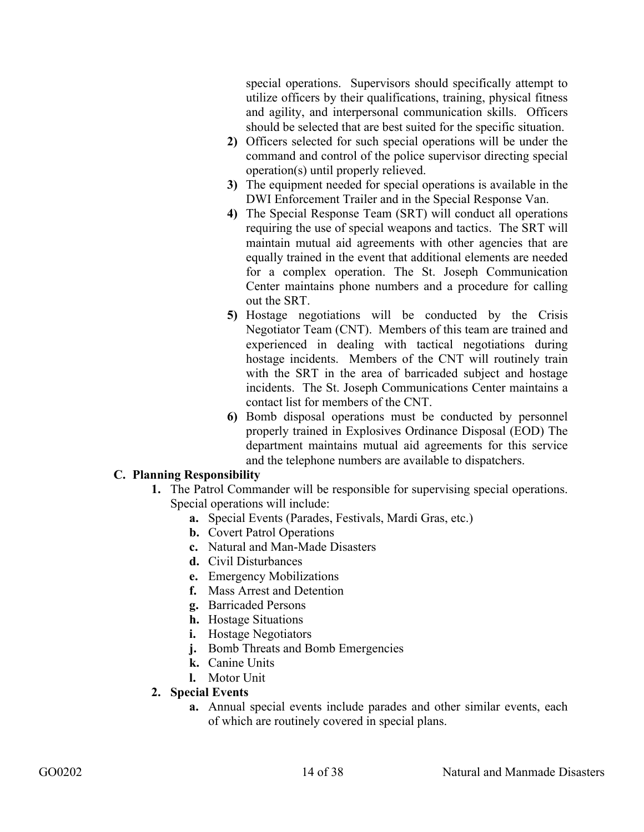special operations. Supervisors should specifically attempt to utilize officers by their qualifications, training, physical fitness and agility, and interpersonal communication skills. Officers should be selected that are best suited for the specific situation.

- **2)** Officers selected for such special operations will be under the command and control of the police supervisor directing special operation(s) until properly relieved.
- **3)** The equipment needed for special operations is available in the DWI Enforcement Trailer and in the Special Response Van.
- **4)** The Special Response Team (SRT) will conduct all operations requiring the use of special weapons and tactics. The SRT will maintain mutual aid agreements with other agencies that are equally trained in the event that additional elements are needed for a complex operation. The St. Joseph Communication Center maintains phone numbers and a procedure for calling out the SRT.
- **5)** Hostage negotiations will be conducted by the Crisis Negotiator Team (CNT). Members of this team are trained and experienced in dealing with tactical negotiations during hostage incidents. Members of the CNT will routinely train with the SRT in the area of barricaded subject and hostage incidents. The St. Joseph Communications Center maintains a contact list for members of the CNT.
- **6)** Bomb disposal operations must be conducted by personnel properly trained in Explosives Ordinance Disposal (EOD) The department maintains mutual aid agreements for this service and the telephone numbers are available to dispatchers.

#### **C. Planning Responsibility**

- **1.** The Patrol Commander will be responsible for supervising special operations. Special operations will include:
	- **a.** Special Events (Parades, Festivals, Mardi Gras, etc.)
	- **b.** Covert Patrol Operations
	- **c.** Natural and Man-Made Disasters
	- **d.** Civil Disturbances
	- **e.** Emergency Mobilizations
	- **f.** Mass Arrest and Detention
	- **g.** Barricaded Persons
	- **h.** Hostage Situations
	- **i.** Hostage Negotiators
	- **j.** Bomb Threats and Bomb Emergencies
	- **k.** Canine Units
	- **l.** Motor Unit
- **2. Special Events** 
	- **a.** Annual special events include parades and other similar events, each of which are routinely covered in special plans.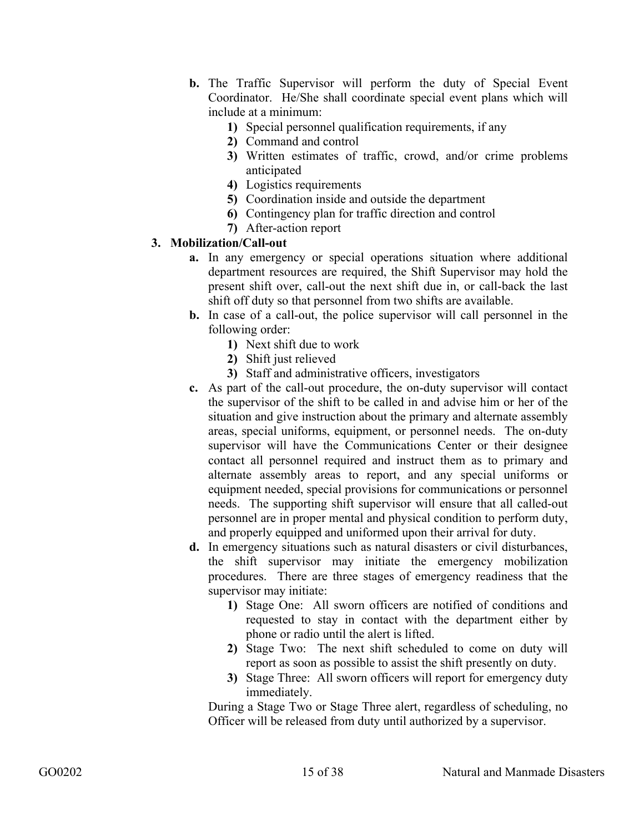- **b.** The Traffic Supervisor will perform the duty of Special Event Coordinator. He/She shall coordinate special event plans which will include at a minimum:
	- **1)** Special personnel qualification requirements, if any
	- **2)** Command and control
	- **3)** Written estimates of traffic, crowd, and/or crime problems anticipated
	- **4)** Logistics requirements
	- **5)** Coordination inside and outside the department
	- **6)** Contingency plan for traffic direction and control
	- **7)** After-action report

## **3. Mobilization/Call-out**

- **a.** In any emergency or special operations situation where additional department resources are required, the Shift Supervisor may hold the present shift over, call-out the next shift due in, or call-back the last shift off duty so that personnel from two shifts are available.
- **b.** In case of a call-out, the police supervisor will call personnel in the following order:
	- **1)** Next shift due to work
	- **2)** Shift just relieved
	- **3)** Staff and administrative officers, investigators
- **c.** As part of the call-out procedure, the on-duty supervisor will contact the supervisor of the shift to be called in and advise him or her of the situation and give instruction about the primary and alternate assembly areas, special uniforms, equipment, or personnel needs. The on-duty supervisor will have the Communications Center or their designee contact all personnel required and instruct them as to primary and alternate assembly areas to report, and any special uniforms or equipment needed, special provisions for communications or personnel needs. The supporting shift supervisor will ensure that all called-out personnel are in proper mental and physical condition to perform duty, and properly equipped and uniformed upon their arrival for duty.
- **d.** In emergency situations such as natural disasters or civil disturbances, the shift supervisor may initiate the emergency mobilization procedures. There are three stages of emergency readiness that the supervisor may initiate:
	- **1)** Stage One: All sworn officers are notified of conditions and requested to stay in contact with the department either by phone or radio until the alert is lifted.
	- **2)** Stage Two: The next shift scheduled to come on duty will report as soon as possible to assist the shift presently on duty.
	- **3)** Stage Three: All sworn officers will report for emergency duty immediately.

During a Stage Two or Stage Three alert, regardless of scheduling, no Officer will be released from duty until authorized by a supervisor.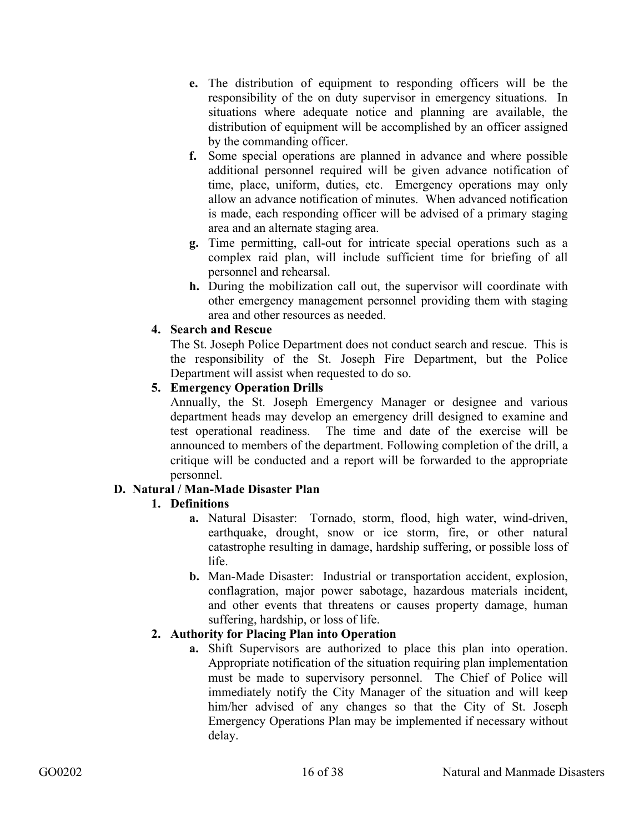- **e.** The distribution of equipment to responding officers will be the responsibility of the on duty supervisor in emergency situations. In situations where adequate notice and planning are available, the distribution of equipment will be accomplished by an officer assigned by the commanding officer.
- **f.** Some special operations are planned in advance and where possible additional personnel required will be given advance notification of time, place, uniform, duties, etc. Emergency operations may only allow an advance notification of minutes. When advanced notification is made, each responding officer will be advised of a primary staging area and an alternate staging area.
- **g.** Time permitting, call-out for intricate special operations such as a complex raid plan, will include sufficient time for briefing of all personnel and rehearsal.
- **h.** During the mobilization call out, the supervisor will coordinate with other emergency management personnel providing them with staging area and other resources as needed.

## **4. Search and Rescue**

The St. Joseph Police Department does not conduct search and rescue. This is the responsibility of the St. Joseph Fire Department, but the Police Department will assist when requested to do so.

# **5. Emergency Operation Drills**

Annually, the St. Joseph Emergency Manager or designee and various department heads may develop an emergency drill designed to examine and test operational readiness. The time and date of the exercise will be announced to members of the department. Following completion of the drill, a critique will be conducted and a report will be forwarded to the appropriate personnel.

# **D. Natural / Man-Made Disaster Plan**

# **1. Definitions**

- **a.** Natural Disaster: Tornado, storm, flood, high water, wind-driven, earthquake, drought, snow or ice storm, fire, or other natural catastrophe resulting in damage, hardship suffering, or possible loss of life.
- **b.** Man-Made Disaster: Industrial or transportation accident, explosion, conflagration, major power sabotage, hazardous materials incident, and other events that threatens or causes property damage, human suffering, hardship, or loss of life.

# **2. Authority for Placing Plan into Operation**

**a.** Shift Supervisors are authorized to place this plan into operation. Appropriate notification of the situation requiring plan implementation must be made to supervisory personnel. The Chief of Police will immediately notify the City Manager of the situation and will keep him/her advised of any changes so that the City of St. Joseph Emergency Operations Plan may be implemented if necessary without delay.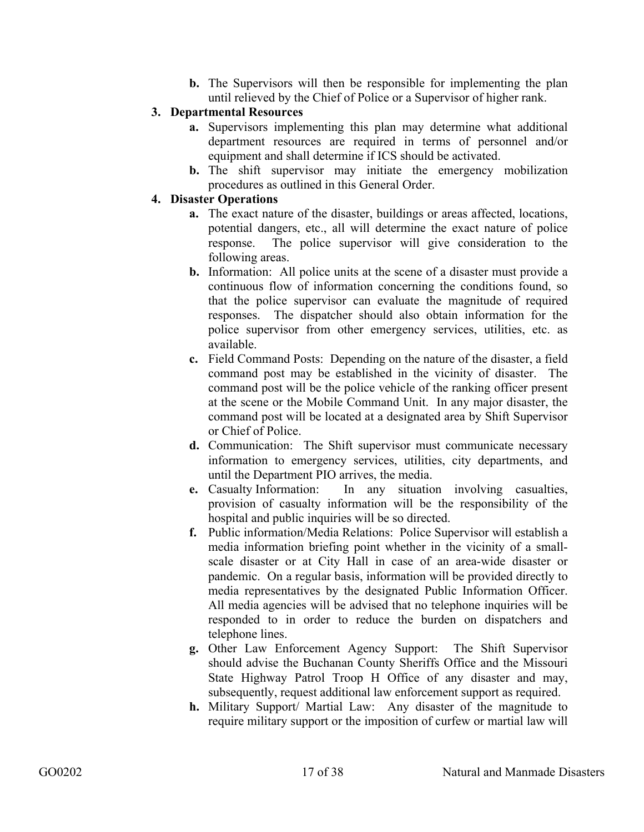**b.** The Supervisors will then be responsible for implementing the plan until relieved by the Chief of Police or a Supervisor of higher rank.

## **3. Departmental Resources**

- **a.** Supervisors implementing this plan may determine what additional department resources are required in terms of personnel and/or equipment and shall determine if ICS should be activated.
- **b.** The shift supervisor may initiate the emergency mobilization procedures as outlined in this General Order.

## **4. Disaster Operations**

- **a.** The exact nature of the disaster, buildings or areas affected, locations, potential dangers, etc., all will determine the exact nature of police response. The police supervisor will give consideration to the following areas.
- **b.** Information: All police units at the scene of a disaster must provide a continuous flow of information concerning the conditions found, so that the police supervisor can evaluate the magnitude of required responses. The dispatcher should also obtain information for the police supervisor from other emergency services, utilities, etc. as available.
- **c.** Field Command Posts: Depending on the nature of the disaster, a field command post may be established in the vicinity of disaster. The command post will be the police vehicle of the ranking officer present at the scene or the Mobile Command Unit. In any major disaster, the command post will be located at a designated area by Shift Supervisor or Chief of Police.
- **d.** Communication: The Shift supervisor must communicate necessary information to emergency services, utilities, city departments, and until the Department PIO arrives, the media.
- **e.** Casualty Information: In any situation involving casualties, provision of casualty information will be the responsibility of the hospital and public inquiries will be so directed.
- **f.** Public information/Media Relations: Police Supervisor will establish a media information briefing point whether in the vicinity of a smallscale disaster or at City Hall in case of an area-wide disaster or pandemic. On a regular basis, information will be provided directly to media representatives by the designated Public Information Officer. All media agencies will be advised that no telephone inquiries will be responded to in order to reduce the burden on dispatchers and telephone lines.
- **g.** Other Law Enforcement Agency Support: The Shift Supervisor should advise the Buchanan County Sheriffs Office and the Missouri State Highway Patrol Troop H Office of any disaster and may, subsequently, request additional law enforcement support as required.
- **h.** Military Support/ Martial Law: Any disaster of the magnitude to require military support or the imposition of curfew or martial law will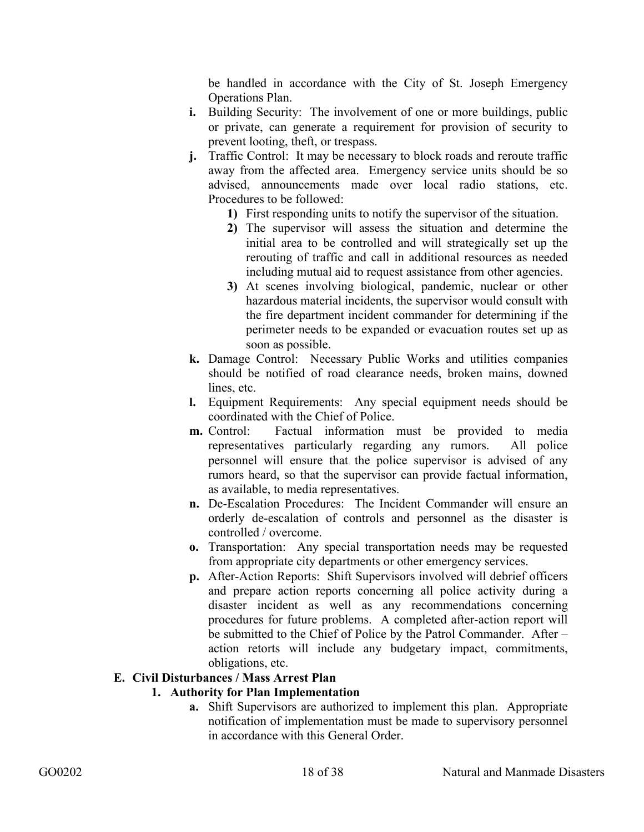be handled in accordance with the City of St. Joseph Emergency Operations Plan.

- **i.** Building Security: The involvement of one or more buildings, public or private, can generate a requirement for provision of security to prevent looting, theft, or trespass.
- **j.** Traffic Control: It may be necessary to block roads and reroute traffic away from the affected area. Emergency service units should be so advised, announcements made over local radio stations, etc. Procedures to be followed:
	- **1)** First responding units to notify the supervisor of the situation.
	- **2)** The supervisor will assess the situation and determine the initial area to be controlled and will strategically set up the rerouting of traffic and call in additional resources as needed including mutual aid to request assistance from other agencies.
	- **3)** At scenes involving biological, pandemic, nuclear or other hazardous material incidents, the supervisor would consult with the fire department incident commander for determining if the perimeter needs to be expanded or evacuation routes set up as soon as possible.
- **k.** Damage Control: Necessary Public Works and utilities companies should be notified of road clearance needs, broken mains, downed lines, etc.
- **l.** Equipment Requirements: Any special equipment needs should be coordinated with the Chief of Police.
- **m.** Control: Factual information must be provided to media representatives particularly regarding any rumors. All police personnel will ensure that the police supervisor is advised of any rumors heard, so that the supervisor can provide factual information, as available, to media representatives.
- **n.** De-Escalation Procedures: The Incident Commander will ensure an orderly de-escalation of controls and personnel as the disaster is controlled / overcome.
- **o.** Transportation: Any special transportation needs may be requested from appropriate city departments or other emergency services.
- **p.** After-Action Reports: Shift Supervisors involved will debrief officers and prepare action reports concerning all police activity during a disaster incident as well as any recommendations concerning procedures for future problems. A completed after-action report will be submitted to the Chief of Police by the Patrol Commander. After – action retorts will include any budgetary impact, commitments, obligations, etc.

#### **E. Civil Disturbances / Mass Arrest Plan**

#### **1. Authority for Plan Implementation**

**a.** Shift Supervisors are authorized to implement this plan. Appropriate notification of implementation must be made to supervisory personnel in accordance with this General Order.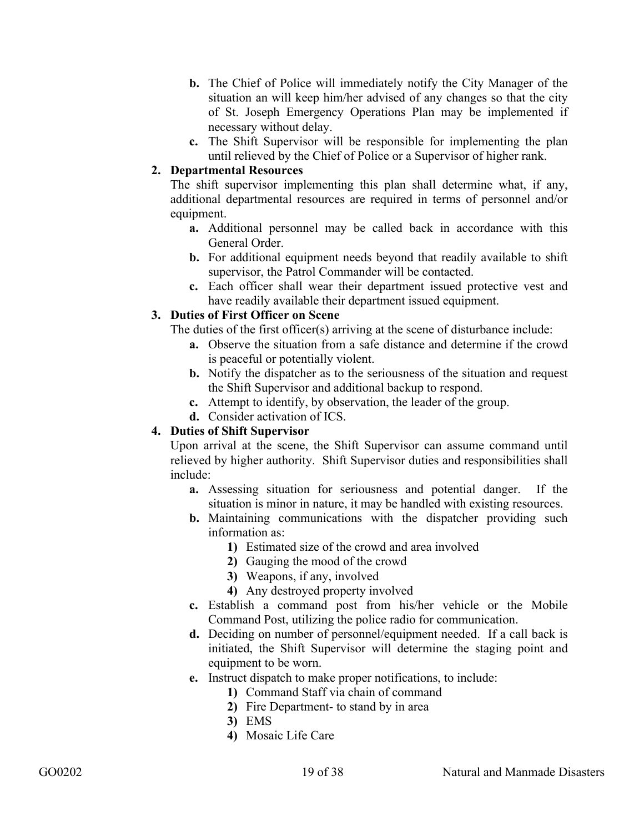- **b.** The Chief of Police will immediately notify the City Manager of the situation an will keep him/her advised of any changes so that the city of St. Joseph Emergency Operations Plan may be implemented if necessary without delay.
- **c.** The Shift Supervisor will be responsible for implementing the plan until relieved by the Chief of Police or a Supervisor of higher rank.

## **2. Departmental Resources**

The shift supervisor implementing this plan shall determine what, if any, additional departmental resources are required in terms of personnel and/or equipment.

- **a.** Additional personnel may be called back in accordance with this General Order.
- **b.** For additional equipment needs beyond that readily available to shift supervisor, the Patrol Commander will be contacted.
- **c.** Each officer shall wear their department issued protective vest and have readily available their department issued equipment.

## **3. Duties of First Officer on Scene**

The duties of the first officer(s) arriving at the scene of disturbance include:

- **a.** Observe the situation from a safe distance and determine if the crowd is peaceful or potentially violent.
- **b.** Notify the dispatcher as to the seriousness of the situation and request the Shift Supervisor and additional backup to respond.
- **c.** Attempt to identify, by observation, the leader of the group.
- **d.** Consider activation of ICS.

# **4. Duties of Shift Supervisor**

Upon arrival at the scene, the Shift Supervisor can assume command until relieved by higher authority. Shift Supervisor duties and responsibilities shall include:

- **a.** Assessing situation for seriousness and potential danger. If the situation is minor in nature, it may be handled with existing resources.
- **b.** Maintaining communications with the dispatcher providing such information as:
	- **1)** Estimated size of the crowd and area involved
	- **2)** Gauging the mood of the crowd
	- **3)** Weapons, if any, involved
	- **4)** Any destroyed property involved
- **c.** Establish a command post from his/her vehicle or the Mobile Command Post, utilizing the police radio for communication.
- **d.** Deciding on number of personnel/equipment needed. If a call back is initiated, the Shift Supervisor will determine the staging point and equipment to be worn.
- **e.** Instruct dispatch to make proper notifications, to include:
	- **1)** Command Staff via chain of command
	- **2)** Fire Department- to stand by in area
	- **3)** EMS
	- **4)** Mosaic Life Care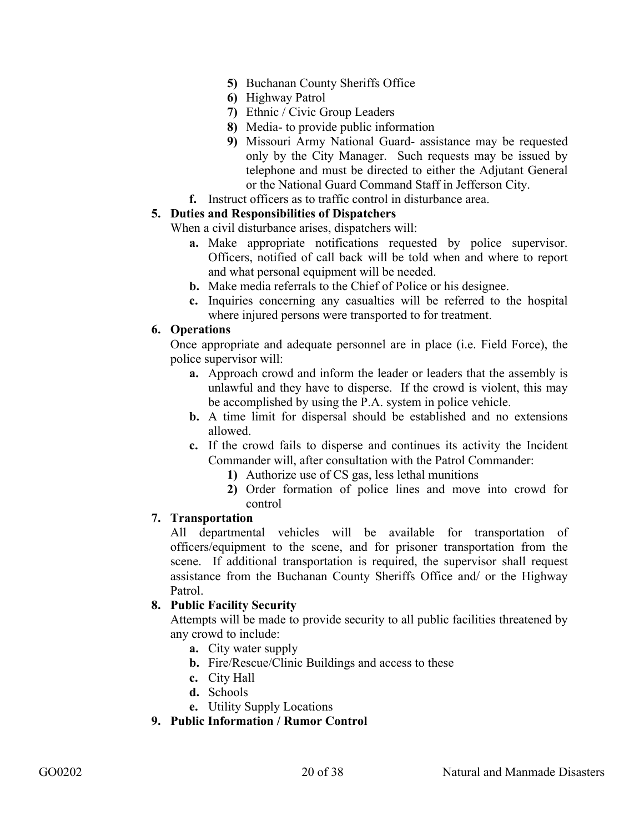- **5)** Buchanan County Sheriffs Office
- **6)** Highway Patrol
- **7)** Ethnic / Civic Group Leaders
- **8)** Media- to provide public information
- **9)** Missouri Army National Guard- assistance may be requested only by the City Manager. Such requests may be issued by telephone and must be directed to either the Adjutant General or the National Guard Command Staff in Jefferson City.
- **f.** Instruct officers as to traffic control in disturbance area.

#### **5. Duties and Responsibilities of Dispatchers**

When a civil disturbance arises, dispatchers will:

- **a.** Make appropriate notifications requested by police supervisor. Officers, notified of call back will be told when and where to report and what personal equipment will be needed.
- **b.** Make media referrals to the Chief of Police or his designee.
- **c.** Inquiries concerning any casualties will be referred to the hospital where injured persons were transported to for treatment.

#### **6. Operations**

Once appropriate and adequate personnel are in place (i.e. Field Force), the police supervisor will:

- **a.** Approach crowd and inform the leader or leaders that the assembly is unlawful and they have to disperse. If the crowd is violent, this may be accomplished by using the P.A. system in police vehicle.
- **b.** A time limit for dispersal should be established and no extensions allowed.
- **c.** If the crowd fails to disperse and continues its activity the Incident Commander will, after consultation with the Patrol Commander:
	- **1)** Authorize use of CS gas, less lethal munitions
	- **2)** Order formation of police lines and move into crowd for control

#### **7. Transportation**

All departmental vehicles will be available for transportation of officers/equipment to the scene, and for prisoner transportation from the scene. If additional transportation is required, the supervisor shall request assistance from the Buchanan County Sheriffs Office and/ or the Highway Patrol.

#### **8. Public Facility Security**

Attempts will be made to provide security to all public facilities threatened by any crowd to include:

- **a.** City water supply
- **b.** Fire/Rescue/Clinic Buildings and access to these
- **c.** City Hall
- **d.** Schools
- **e.** Utility Supply Locations

**9. Public Information / Rumor Control**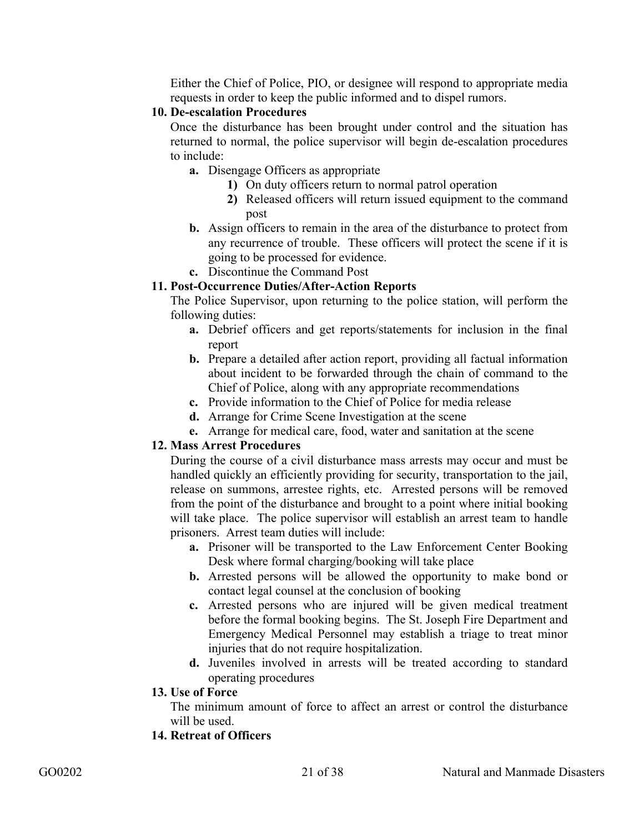Either the Chief of Police, PIO, or designee will respond to appropriate media requests in order to keep the public informed and to dispel rumors.

#### **10. De-escalation Procedures**

Once the disturbance has been brought under control and the situation has returned to normal, the police supervisor will begin de-escalation procedures to include:

- **a.** Disengage Officers as appropriate
	- **1)** On duty officers return to normal patrol operation
	- **2)** Released officers will return issued equipment to the command post
- **b.** Assign officers to remain in the area of the disturbance to protect from any recurrence of trouble. These officers will protect the scene if it is going to be processed for evidence.
- **c.** Discontinue the Command Post

#### **11. Post-Occurrence Duties/After-Action Reports**

The Police Supervisor, upon returning to the police station, will perform the following duties:

- **a.** Debrief officers and get reports/statements for inclusion in the final report
- **b.** Prepare a detailed after action report, providing all factual information about incident to be forwarded through the chain of command to the Chief of Police, along with any appropriate recommendations
- **c.** Provide information to the Chief of Police for media release
- **d.** Arrange for Crime Scene Investigation at the scene
- **e.** Arrange for medical care, food, water and sanitation at the scene

#### **12. Mass Arrest Procedures**

During the course of a civil disturbance mass arrests may occur and must be handled quickly an efficiently providing for security, transportation to the jail, release on summons, arrestee rights, etc. Arrested persons will be removed from the point of the disturbance and brought to a point where initial booking will take place. The police supervisor will establish an arrest team to handle prisoners. Arrest team duties will include:

- **a.** Prisoner will be transported to the Law Enforcement Center Booking Desk where formal charging/booking will take place
- **b.** Arrested persons will be allowed the opportunity to make bond or contact legal counsel at the conclusion of booking
- **c.** Arrested persons who are injured will be given medical treatment before the formal booking begins. The St. Joseph Fire Department and Emergency Medical Personnel may establish a triage to treat minor injuries that do not require hospitalization.
- **d.** Juveniles involved in arrests will be treated according to standard operating procedures
- **13. Use of Force**

The minimum amount of force to affect an arrest or control the disturbance will be used.

#### **14. Retreat of Officers**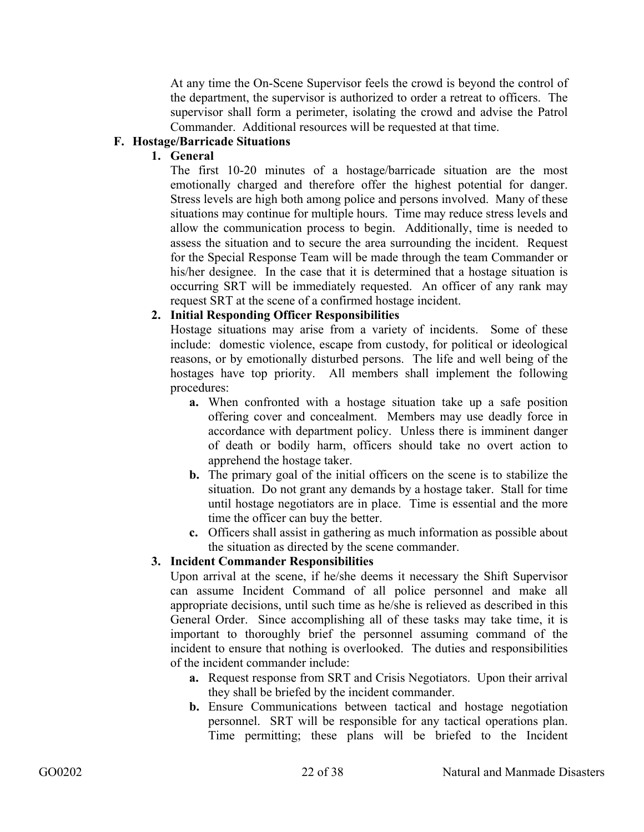At any time the On-Scene Supervisor feels the crowd is beyond the control of the department, the supervisor is authorized to order a retreat to officers. The supervisor shall form a perimeter, isolating the crowd and advise the Patrol Commander. Additional resources will be requested at that time.

## **F. Hostage/Barricade Situations**

#### **1. General**

The first 10-20 minutes of a hostage/barricade situation are the most emotionally charged and therefore offer the highest potential for danger. Stress levels are high both among police and persons involved. Many of these situations may continue for multiple hours. Time may reduce stress levels and allow the communication process to begin. Additionally, time is needed to assess the situation and to secure the area surrounding the incident. Request for the Special Response Team will be made through the team Commander or his/her designee. In the case that it is determined that a hostage situation is occurring SRT will be immediately requested. An officer of any rank may request SRT at the scene of a confirmed hostage incident.

#### **2. Initial Responding Officer Responsibilities**

Hostage situations may arise from a variety of incidents. Some of these include: domestic violence, escape from custody, for political or ideological reasons, or by emotionally disturbed persons. The life and well being of the hostages have top priority. All members shall implement the following procedures:

- **a.** When confronted with a hostage situation take up a safe position offering cover and concealment. Members may use deadly force in accordance with department policy. Unless there is imminent danger of death or bodily harm, officers should take no overt action to apprehend the hostage taker.
- **b.** The primary goal of the initial officers on the scene is to stabilize the situation. Do not grant any demands by a hostage taker. Stall for time until hostage negotiators are in place. Time is essential and the more time the officer can buy the better.
- **c.** Officers shall assist in gathering as much information as possible about the situation as directed by the scene commander.

#### **3. Incident Commander Responsibilities**

Upon arrival at the scene, if he/she deems it necessary the Shift Supervisor can assume Incident Command of all police personnel and make all appropriate decisions, until such time as he/she is relieved as described in this General Order. Since accomplishing all of these tasks may take time, it is important to thoroughly brief the personnel assuming command of the incident to ensure that nothing is overlooked. The duties and responsibilities of the incident commander include:

- **a.** Request response from SRT and Crisis Negotiators. Upon their arrival they shall be briefed by the incident commander.
- **b.** Ensure Communications between tactical and hostage negotiation personnel. SRT will be responsible for any tactical operations plan. Time permitting; these plans will be briefed to the Incident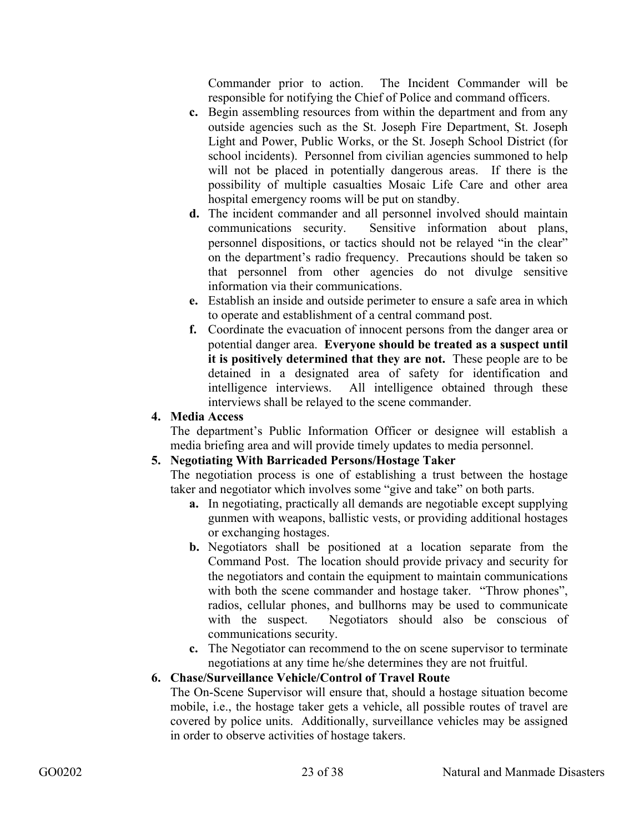Commander prior to action. The Incident Commander will be responsible for notifying the Chief of Police and command officers.

- **c.** Begin assembling resources from within the department and from any outside agencies such as the St. Joseph Fire Department, St. Joseph Light and Power, Public Works, or the St. Joseph School District (for school incidents). Personnel from civilian agencies summoned to help will not be placed in potentially dangerous areas. If there is the possibility of multiple casualties Mosaic Life Care and other area hospital emergency rooms will be put on standby.
- **d.** The incident commander and all personnel involved should maintain communications security. Sensitive information about plans, personnel dispositions, or tactics should not be relayed "in the clear" on the department's radio frequency. Precautions should be taken so that personnel from other agencies do not divulge sensitive information via their communications.
- **e.** Establish an inside and outside perimeter to ensure a safe area in which to operate and establishment of a central command post.
- **f.** Coordinate the evacuation of innocent persons from the danger area or potential danger area. **Everyone should be treated as a suspect until it is positively determined that they are not.** These people are to be detained in a designated area of safety for identification and intelligence interviews. All intelligence obtained through these interviews shall be relayed to the scene commander.

## **4. Media Access**

The department's Public Information Officer or designee will establish a media briefing area and will provide timely updates to media personnel.

# **5. Negotiating With Barricaded Persons/Hostage Taker**

The negotiation process is one of establishing a trust between the hostage taker and negotiator which involves some "give and take" on both parts.

- **a.** In negotiating, practically all demands are negotiable except supplying gunmen with weapons, ballistic vests, or providing additional hostages or exchanging hostages.
- **b.** Negotiators shall be positioned at a location separate from the Command Post. The location should provide privacy and security for the negotiators and contain the equipment to maintain communications with both the scene commander and hostage taker. "Throw phones", radios, cellular phones, and bullhorns may be used to communicate with the suspect. Negotiators should also be conscious of communications security.
- **c.** The Negotiator can recommend to the on scene supervisor to terminate negotiations at any time he/she determines they are not fruitful.

#### **6. Chase/Surveillance Vehicle/Control of Travel Route**

The On-Scene Supervisor will ensure that, should a hostage situation become mobile, i.e., the hostage taker gets a vehicle, all possible routes of travel are covered by police units. Additionally, surveillance vehicles may be assigned in order to observe activities of hostage takers.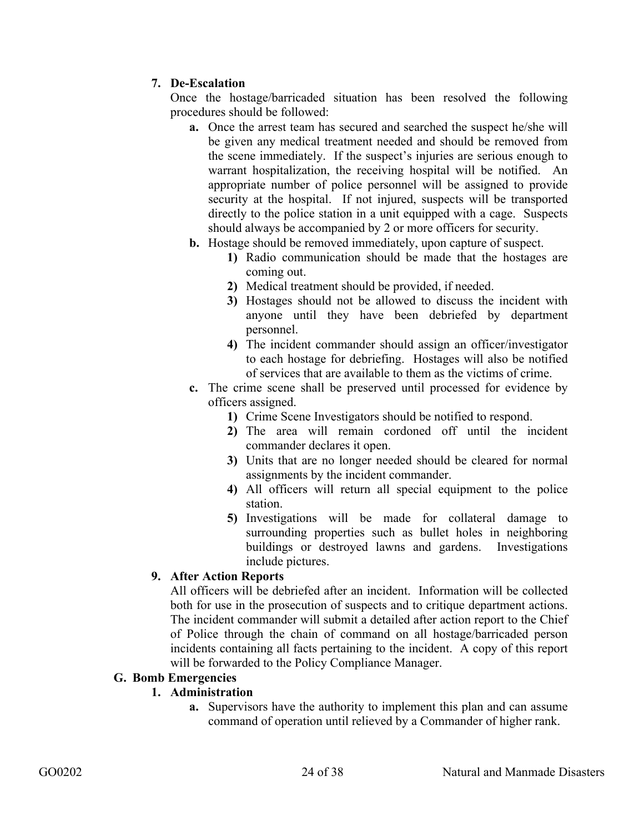# **7. De-Escalation**

Once the hostage/barricaded situation has been resolved the following procedures should be followed:

- **a.** Once the arrest team has secured and searched the suspect he/she will be given any medical treatment needed and should be removed from the scene immediately. If the suspect's injuries are serious enough to warrant hospitalization, the receiving hospital will be notified. An appropriate number of police personnel will be assigned to provide security at the hospital. If not injured, suspects will be transported directly to the police station in a unit equipped with a cage. Suspects should always be accompanied by 2 or more officers for security.
- **b.** Hostage should be removed immediately, upon capture of suspect.
	- **1)** Radio communication should be made that the hostages are coming out.
	- **2)** Medical treatment should be provided, if needed.
	- **3)** Hostages should not be allowed to discuss the incident with anyone until they have been debriefed by department personnel.
	- **4)** The incident commander should assign an officer/investigator to each hostage for debriefing. Hostages will also be notified of services that are available to them as the victims of crime.
- **c.** The crime scene shall be preserved until processed for evidence by officers assigned.
	- **1)** Crime Scene Investigators should be notified to respond.
	- **2)** The area will remain cordoned off until the incident commander declares it open.
	- **3)** Units that are no longer needed should be cleared for normal assignments by the incident commander.
	- **4)** All officers will return all special equipment to the police station.
	- **5)** Investigations will be made for collateral damage to surrounding properties such as bullet holes in neighboring buildings or destroyed lawns and gardens. Investigations include pictures.

# **9. After Action Reports**

All officers will be debriefed after an incident. Information will be collected both for use in the prosecution of suspects and to critique department actions. The incident commander will submit a detailed after action report to the Chief of Police through the chain of command on all hostage/barricaded person incidents containing all facts pertaining to the incident. A copy of this report will be forwarded to the Policy Compliance Manager.

#### **G. Bomb Emergencies**

# **1. Administration**

**a.** Supervisors have the authority to implement this plan and can assume command of operation until relieved by a Commander of higher rank.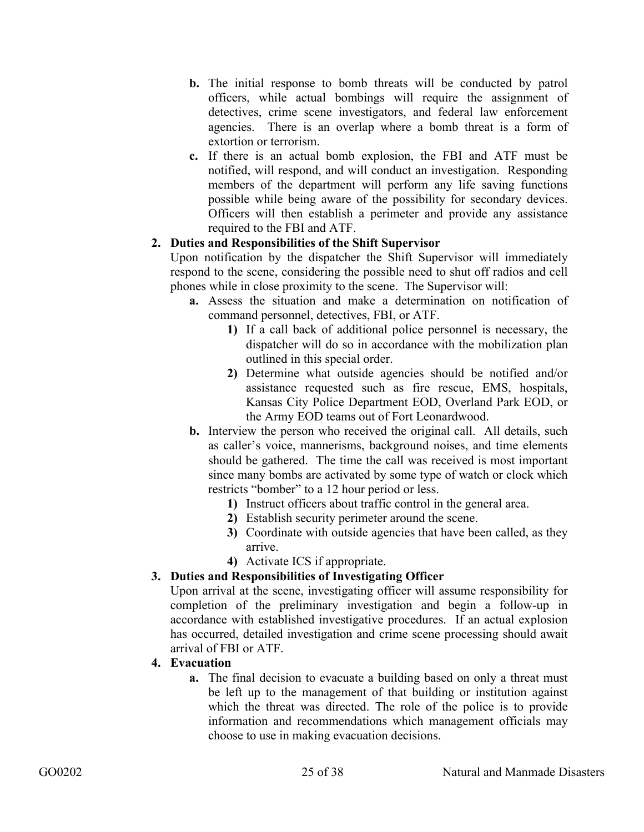- **b.** The initial response to bomb threats will be conducted by patrol officers, while actual bombings will require the assignment of detectives, crime scene investigators, and federal law enforcement agencies. There is an overlap where a bomb threat is a form of extortion or terrorism.
- **c.** If there is an actual bomb explosion, the FBI and ATF must be notified, will respond, and will conduct an investigation. Responding members of the department will perform any life saving functions possible while being aware of the possibility for secondary devices. Officers will then establish a perimeter and provide any assistance required to the FBI and ATF.

## **2. Duties and Responsibilities of the Shift Supervisor**

Upon notification by the dispatcher the Shift Supervisor will immediately respond to the scene, considering the possible need to shut off radios and cell phones while in close proximity to the scene. The Supervisor will:

- **a.** Assess the situation and make a determination on notification of command personnel, detectives, FBI, or ATF.
	- **1)** If a call back of additional police personnel is necessary, the dispatcher will do so in accordance with the mobilization plan outlined in this special order.
	- **2)** Determine what outside agencies should be notified and/or assistance requested such as fire rescue, EMS, hospitals, Kansas City Police Department EOD, Overland Park EOD, or the Army EOD teams out of Fort Leonardwood.
- **b.** Interview the person who received the original call. All details, such as caller's voice, mannerisms, background noises, and time elements should be gathered. The time the call was received is most important since many bombs are activated by some type of watch or clock which restricts "bomber" to a 12 hour period or less.
	- **1)** Instruct officers about traffic control in the general area.
	- **2)** Establish security perimeter around the scene.
	- **3)** Coordinate with outside agencies that have been called, as they arrive.
	- **4)** Activate ICS if appropriate.

# **3. Duties and Responsibilities of Investigating Officer**

Upon arrival at the scene, investigating officer will assume responsibility for completion of the preliminary investigation and begin a follow-up in accordance with established investigative procedures. If an actual explosion has occurred, detailed investigation and crime scene processing should await arrival of FBI or ATF.

#### **4. Evacuation**

**a.** The final decision to evacuate a building based on only a threat must be left up to the management of that building or institution against which the threat was directed. The role of the police is to provide information and recommendations which management officials may choose to use in making evacuation decisions.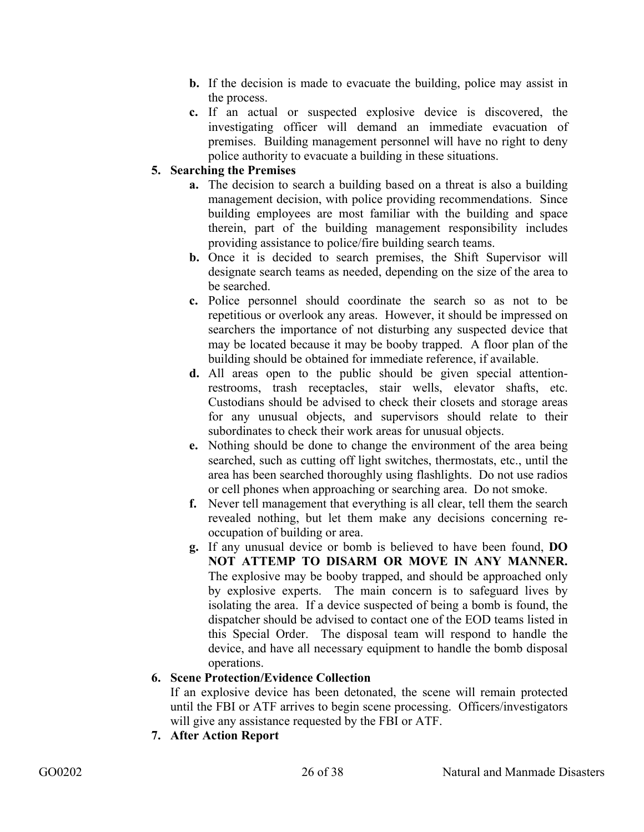- **b.** If the decision is made to evacuate the building, police may assist in the process.
- **c.** If an actual or suspected explosive device is discovered, the investigating officer will demand an immediate evacuation of premises. Building management personnel will have no right to deny police authority to evacuate a building in these situations.

# **5. Searching the Premises**

- **a.** The decision to search a building based on a threat is also a building management decision, with police providing recommendations. Since building employees are most familiar with the building and space therein, part of the building management responsibility includes providing assistance to police/fire building search teams.
- **b.** Once it is decided to search premises, the Shift Supervisor will designate search teams as needed, depending on the size of the area to be searched.
- **c.** Police personnel should coordinate the search so as not to be repetitious or overlook any areas. However, it should be impressed on searchers the importance of not disturbing any suspected device that may be located because it may be booby trapped. A floor plan of the building should be obtained for immediate reference, if available.
- **d.** All areas open to the public should be given special attentionrestrooms, trash receptacles, stair wells, elevator shafts, etc. Custodians should be advised to check their closets and storage areas for any unusual objects, and supervisors should relate to their subordinates to check their work areas for unusual objects.
- **e.** Nothing should be done to change the environment of the area being searched, such as cutting off light switches, thermostats, etc., until the area has been searched thoroughly using flashlights. Do not use radios or cell phones when approaching or searching area. Do not smoke.
- **f.** Never tell management that everything is all clear, tell them the search revealed nothing, but let them make any decisions concerning reoccupation of building or area.
- **g.** If any unusual device or bomb is believed to have been found, **DO NOT ATTEMP TO DISARM OR MOVE IN ANY MANNER.**  The explosive may be booby trapped, and should be approached only by explosive experts. The main concern is to safeguard lives by isolating the area. If a device suspected of being a bomb is found, the dispatcher should be advised to contact one of the EOD teams listed in this Special Order. The disposal team will respond to handle the device, and have all necessary equipment to handle the bomb disposal operations.

#### **6. Scene Protection/Evidence Collection**

If an explosive device has been detonated, the scene will remain protected until the FBI or ATF arrives to begin scene processing. Officers/investigators will give any assistance requested by the FBI or ATF.

**7. After Action Report**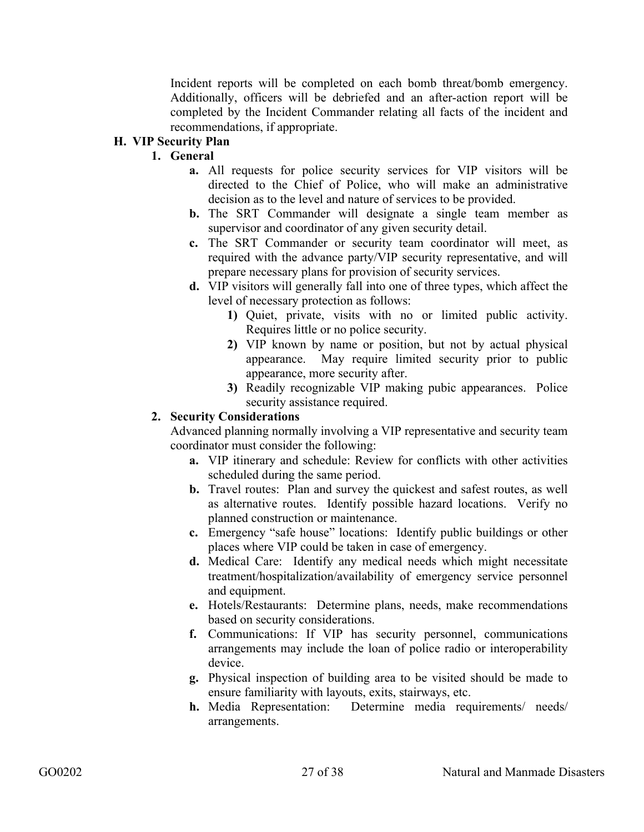Incident reports will be completed on each bomb threat/bomb emergency. Additionally, officers will be debriefed and an after-action report will be completed by the Incident Commander relating all facts of the incident and recommendations, if appropriate.

# **H. VIP Security Plan**

# **1. General**

- **a.** All requests for police security services for VIP visitors will be directed to the Chief of Police, who will make an administrative decision as to the level and nature of services to be provided.
- **b.** The SRT Commander will designate a single team member as supervisor and coordinator of any given security detail.
- **c.** The SRT Commander or security team coordinator will meet, as required with the advance party/VIP security representative, and will prepare necessary plans for provision of security services.
- **d.** VIP visitors will generally fall into one of three types, which affect the level of necessary protection as follows:
	- **1)** Quiet, private, visits with no or limited public activity. Requires little or no police security.
	- **2)** VIP known by name or position, but not by actual physical appearance. May require limited security prior to public appearance, more security after.
	- **3)** Readily recognizable VIP making pubic appearances. Police security assistance required.

## **2. Security Considerations**

Advanced planning normally involving a VIP representative and security team coordinator must consider the following:

- **a.** VIP itinerary and schedule: Review for conflicts with other activities scheduled during the same period.
- **b.** Travel routes: Plan and survey the quickest and safest routes, as well as alternative routes. Identify possible hazard locations. Verify no planned construction or maintenance.
- **c.** Emergency "safe house" locations: Identify public buildings or other places where VIP could be taken in case of emergency.
- **d.** Medical Care: Identify any medical needs which might necessitate treatment/hospitalization/availability of emergency service personnel and equipment.
- **e.** Hotels/Restaurants: Determine plans, needs, make recommendations based on security considerations.
- **f.** Communications: If VIP has security personnel, communications arrangements may include the loan of police radio or interoperability device.
- **g.** Physical inspection of building area to be visited should be made to ensure familiarity with layouts, exits, stairways, etc.
- **h.** Media Representation: Determine media requirements/ needs/ arrangements.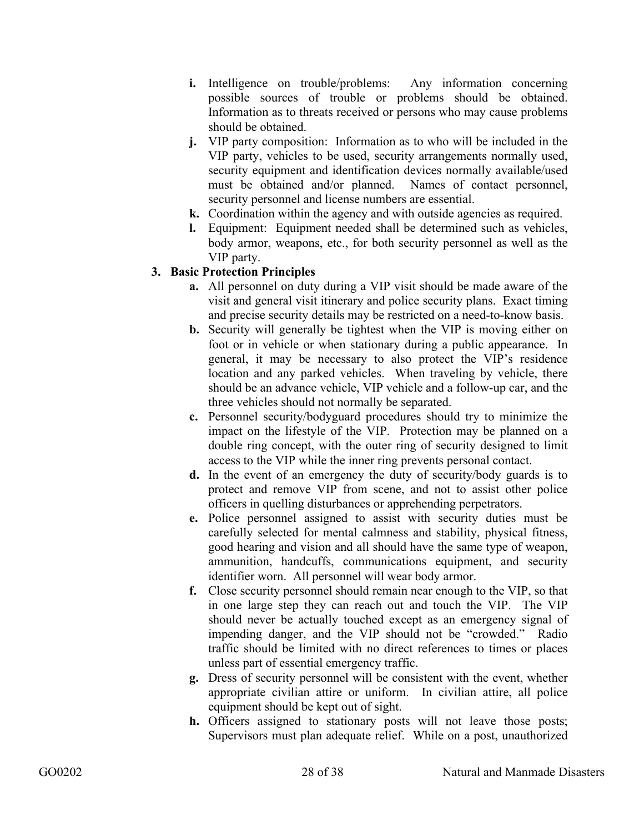- **i.** Intelligence on trouble/problems: Any information concerning possible sources of trouble or problems should be obtained. Information as to threats received or persons who may cause problems should be obtained.
- **j.** VIP party composition: Information as to who will be included in the VIP party, vehicles to be used, security arrangements normally used, security equipment and identification devices normally available/used must be obtained and/or planned. Names of contact personnel, security personnel and license numbers are essential.
- **k.** Coordination within the agency and with outside agencies as required.
- **l.** Equipment: Equipment needed shall be determined such as vehicles, body armor, weapons, etc., for both security personnel as well as the VIP party.

## **3. Basic Protection Principles**

- **a.** All personnel on duty during a VIP visit should be made aware of the visit and general visit itinerary and police security plans. Exact timing and precise security details may be restricted on a need-to-know basis.
- **b.** Security will generally be tightest when the VIP is moving either on foot or in vehicle or when stationary during a public appearance. In general, it may be necessary to also protect the VIP's residence location and any parked vehicles. When traveling by vehicle, there should be an advance vehicle, VIP vehicle and a follow-up car, and the three vehicles should not normally be separated.
- **c.** Personnel security/bodyguard procedures should try to minimize the impact on the lifestyle of the VIP. Protection may be planned on a double ring concept, with the outer ring of security designed to limit access to the VIP while the inner ring prevents personal contact.
- **d.** In the event of an emergency the duty of security/body guards is to protect and remove VIP from scene, and not to assist other police officers in quelling disturbances or apprehending perpetrators.
- **e.** Police personnel assigned to assist with security duties must be carefully selected for mental calmness and stability, physical fitness, good hearing and vision and all should have the same type of weapon, ammunition, handcuffs, communications equipment, and security identifier worn. All personnel will wear body armor.
- **f.** Close security personnel should remain near enough to the VIP, so that in one large step they can reach out and touch the VIP. The VIP should never be actually touched except as an emergency signal of impending danger, and the VIP should not be "crowded." Radio traffic should be limited with no direct references to times or places unless part of essential emergency traffic.
- **g.** Dress of security personnel will be consistent with the event, whether appropriate civilian attire or uniform. In civilian attire, all police equipment should be kept out of sight.
- **h.** Officers assigned to stationary posts will not leave those posts; Supervisors must plan adequate relief. While on a post, unauthorized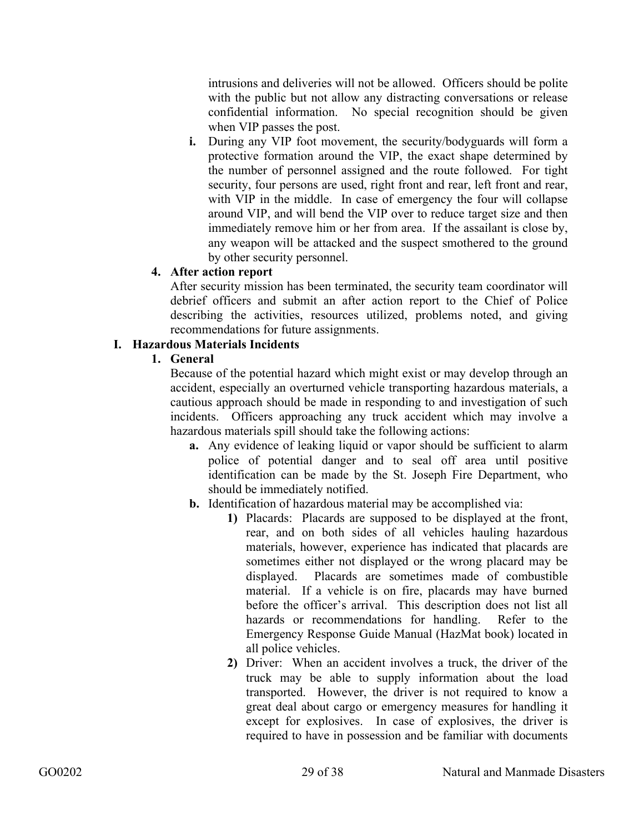intrusions and deliveries will not be allowed. Officers should be polite with the public but not allow any distracting conversations or release confidential information. No special recognition should be given when VIP passes the post.

**i.** During any VIP foot movement, the security/bodyguards will form a protective formation around the VIP, the exact shape determined by the number of personnel assigned and the route followed. For tight security, four persons are used, right front and rear, left front and rear, with VIP in the middle. In case of emergency the four will collapse around VIP, and will bend the VIP over to reduce target size and then immediately remove him or her from area. If the assailant is close by, any weapon will be attacked and the suspect smothered to the ground by other security personnel.

# **4. After action report**

After security mission has been terminated, the security team coordinator will debrief officers and submit an after action report to the Chief of Police describing the activities, resources utilized, problems noted, and giving recommendations for future assignments.

## **I. Hazardous Materials Incidents**

## **1. General**

Because of the potential hazard which might exist or may develop through an accident, especially an overturned vehicle transporting hazardous materials, a cautious approach should be made in responding to and investigation of such incidents. Officers approaching any truck accident which may involve a hazardous materials spill should take the following actions:

- **a.** Any evidence of leaking liquid or vapor should be sufficient to alarm police of potential danger and to seal off area until positive identification can be made by the St. Joseph Fire Department, who should be immediately notified.
- **b.** Identification of hazardous material may be accomplished via:
	- **1)** Placards: Placards are supposed to be displayed at the front, rear, and on both sides of all vehicles hauling hazardous materials, however, experience has indicated that placards are sometimes either not displayed or the wrong placard may be displayed. Placards are sometimes made of combustible material. If a vehicle is on fire, placards may have burned before the officer's arrival. This description does not list all hazards or recommendations for handling. Refer to the Emergency Response Guide Manual (HazMat book) located in all police vehicles.
	- **2)** Driver: When an accident involves a truck, the driver of the truck may be able to supply information about the load transported. However, the driver is not required to know a great deal about cargo or emergency measures for handling it except for explosives. In case of explosives, the driver is required to have in possession and be familiar with documents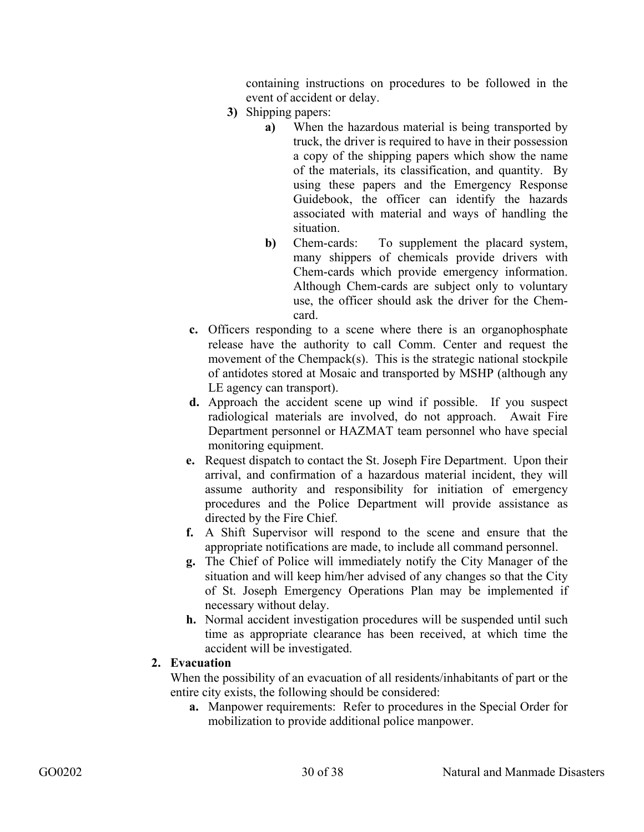containing instructions on procedures to be followed in the event of accident or delay.

- **3)** Shipping papers:
	- **a)** When the hazardous material is being transported by truck, the driver is required to have in their possession a copy of the shipping papers which show the name of the materials, its classification, and quantity. By using these papers and the Emergency Response Guidebook, the officer can identify the hazards associated with material and ways of handling the situation.
	- **b**) Chem-cards: To supplement the placard system, many shippers of chemicals provide drivers with Chem-cards which provide emergency information. Although Chem-cards are subject only to voluntary use, the officer should ask the driver for the Chemcard.
- **c.** Officers responding to a scene where there is an organophosphate release have the authority to call Comm. Center and request the movement of the Chempack(s). This is the strategic national stockpile of antidotes stored at Mosaic and transported by MSHP (although any LE agency can transport).
- **d.** Approach the accident scene up wind if possible. If you suspect radiological materials are involved, do not approach. Await Fire Department personnel or HAZMAT team personnel who have special monitoring equipment.
- **e.** Request dispatch to contact the St. Joseph Fire Department. Upon their arrival, and confirmation of a hazardous material incident, they will assume authority and responsibility for initiation of emergency procedures and the Police Department will provide assistance as directed by the Fire Chief.
- **f.** A Shift Supervisor will respond to the scene and ensure that the appropriate notifications are made, to include all command personnel.
- **g.** The Chief of Police will immediately notify the City Manager of the situation and will keep him/her advised of any changes so that the City of St. Joseph Emergency Operations Plan may be implemented if necessary without delay.
- **h.** Normal accident investigation procedures will be suspended until such time as appropriate clearance has been received, at which time the accident will be investigated.

#### **2. Evacuation**

When the possibility of an evacuation of all residents/inhabitants of part or the entire city exists, the following should be considered:

**a.** Manpower requirements: Refer to procedures in the Special Order for mobilization to provide additional police manpower.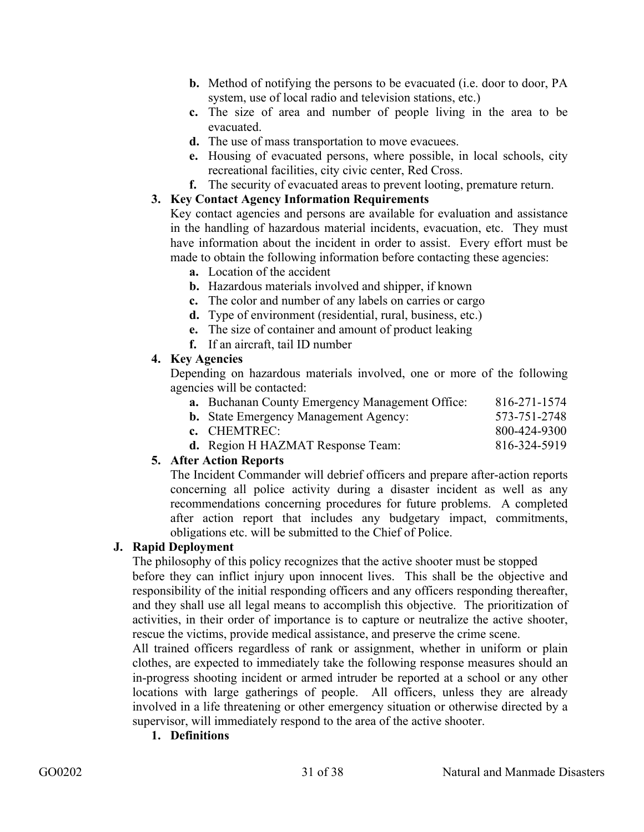- **b.** Method of notifying the persons to be evacuated (i.e. door to door, PA system, use of local radio and television stations, etc.)
- **c.** The size of area and number of people living in the area to be evacuated.
- **d.** The use of mass transportation to move evacuees.
- **e.** Housing of evacuated persons, where possible, in local schools, city recreational facilities, city civic center, Red Cross.
- **f.** The security of evacuated areas to prevent looting, premature return.

#### **3. Key Contact Agency Information Requirements**

Key contact agencies and persons are available for evaluation and assistance in the handling of hazardous material incidents, evacuation, etc. They must have information about the incident in order to assist. Every effort must be made to obtain the following information before contacting these agencies:

- **a.** Location of the accident
- **b.** Hazardous materials involved and shipper, if known
- **c.** The color and number of any labels on carries or cargo
- **d.** Type of environment (residential, rural, business, etc.)
- **e.** The size of container and amount of product leaking
- **f.** If an aircraft, tail ID number

#### **4. Key Agencies**

Depending on hazardous materials involved, one or more of the following agencies will be contacted:

| <b>a.</b> Buchanan County Emergency Management Office: | 816-271-1574 |
|--------------------------------------------------------|--------------|
| <b>b.</b> State Emergency Management Agency:           | 573-751-2748 |
| c. CHEMTREC:                                           | 800-424-9300 |
| <b>d.</b> Region H HAZMAT Response Team:               | 816-324-5919 |

#### **5. After Action Reports**

The Incident Commander will debrief officers and prepare after-action reports concerning all police activity during a disaster incident as well as any recommendations concerning procedures for future problems. A completed after action report that includes any budgetary impact, commitments, obligations etc. will be submitted to the Chief of Police.

#### **J. Rapid Deployment**

The philosophy of this policy recognizes that the active shooter must be stopped before they can inflict injury upon innocent lives. This shall be the objective and responsibility of the initial responding officers and any officers responding thereafter, and they shall use all legal means to accomplish this objective. The prioritization of

activities, in their order of importance is to capture or neutralize the active shooter, rescue the victims, provide medical assistance, and preserve the crime scene.

All trained officers regardless of rank or assignment, whether in uniform or plain clothes, are expected to immediately take the following response measures should an in-progress shooting incident or armed intruder be reported at a school or any other locations with large gatherings of people. All officers, unless they are already involved in a life threatening or other emergency situation or otherwise directed by a supervisor, will immediately respond to the area of the active shooter.

**1. Definitions**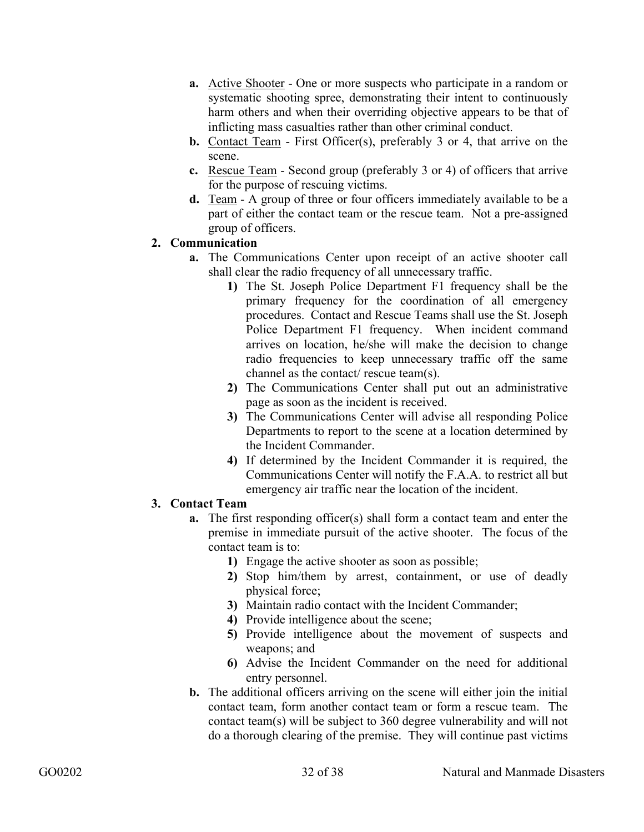- **a.** Active Shooter One or more suspects who participate in a random or systematic shooting spree, demonstrating their intent to continuously harm others and when their overriding objective appears to be that of inflicting mass casualties rather than other criminal conduct.
- **b.** Contact Team First Officer(s), preferably 3 or 4, that arrive on the scene.
- **c.** Rescue Team Second group (preferably 3 or 4) of officers that arrive for the purpose of rescuing victims.
- **d.** Team A group of three or four officers immediately available to be a part of either the contact team or the rescue team. Not a pre-assigned group of officers.

#### **2. Communication**

- **a.** The Communications Center upon receipt of an active shooter call shall clear the radio frequency of all unnecessary traffic.
	- **1)** The St. Joseph Police Department F1 frequency shall be the primary frequency for the coordination of all emergency procedures. Contact and Rescue Teams shall use the St. Joseph Police Department F1 frequency. When incident command arrives on location, he/she will make the decision to change radio frequencies to keep unnecessary traffic off the same channel as the contact/ rescue team(s).
	- **2)** The Communications Center shall put out an administrative page as soon as the incident is received.
	- **3)** The Communications Center will advise all responding Police Departments to report to the scene at a location determined by the Incident Commander.
	- **4)** If determined by the Incident Commander it is required, the Communications Center will notify the F.A.A. to restrict all but emergency air traffic near the location of the incident.

# **3. Contact Team**

- **a.** The first responding officer(s) shall form a contact team and enter the premise in immediate pursuit of the active shooter. The focus of the contact team is to:
	- **1)** Engage the active shooter as soon as possible;
	- **2)** Stop him/them by arrest, containment, or use of deadly physical force;
	- **3)** Maintain radio contact with the Incident Commander;
	- **4)** Provide intelligence about the scene;
	- **5)** Provide intelligence about the movement of suspects and weapons; and
	- **6)** Advise the Incident Commander on the need for additional entry personnel.
- **b.** The additional officers arriving on the scene will either join the initial contact team, form another contact team or form a rescue team. The contact team(s) will be subject to 360 degree vulnerability and will not do a thorough clearing of the premise. They will continue past victims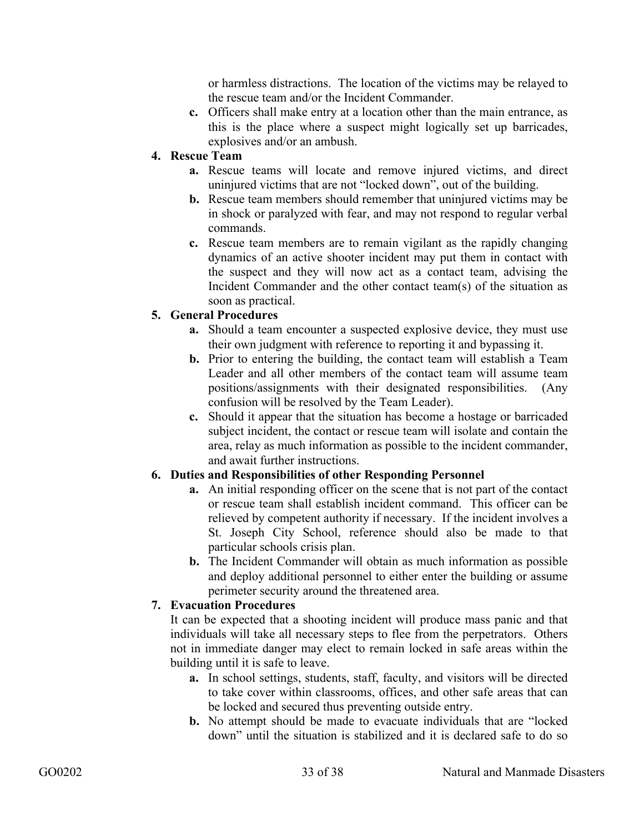or harmless distractions. The location of the victims may be relayed to the rescue team and/or the Incident Commander.

**c.** Officers shall make entry at a location other than the main entrance, as this is the place where a suspect might logically set up barricades, explosives and/or an ambush.

## **4. Rescue Team**

- **a.** Rescue teams will locate and remove injured victims, and direct uninjured victims that are not "locked down", out of the building.
- **b.** Rescue team members should remember that uninjured victims may be in shock or paralyzed with fear, and may not respond to regular verbal commands.
- **c.** Rescue team members are to remain vigilant as the rapidly changing dynamics of an active shooter incident may put them in contact with the suspect and they will now act as a contact team, advising the Incident Commander and the other contact team(s) of the situation as soon as practical.

## **5. General Procedures**

- **a.** Should a team encounter a suspected explosive device, they must use their own judgment with reference to reporting it and bypassing it.
- **b.** Prior to entering the building, the contact team will establish a Team Leader and all other members of the contact team will assume team positions/assignments with their designated responsibilities. (Any confusion will be resolved by the Team Leader).
- **c.** Should it appear that the situation has become a hostage or barricaded subject incident, the contact or rescue team will isolate and contain the area, relay as much information as possible to the incident commander, and await further instructions.

# **6. Duties and Responsibilities of other Responding Personnel**

- **a.** An initial responding officer on the scene that is not part of the contact or rescue team shall establish incident command. This officer can be relieved by competent authority if necessary. If the incident involves a St. Joseph City School, reference should also be made to that particular schools crisis plan.
- **b.** The Incident Commander will obtain as much information as possible and deploy additional personnel to either enter the building or assume perimeter security around the threatened area.

# **7. Evacuation Procedures**

It can be expected that a shooting incident will produce mass panic and that individuals will take all necessary steps to flee from the perpetrators. Others not in immediate danger may elect to remain locked in safe areas within the building until it is safe to leave.

- **a.** In school settings, students, staff, faculty, and visitors will be directed to take cover within classrooms, offices, and other safe areas that can be locked and secured thus preventing outside entry.
- **b.** No attempt should be made to evacuate individuals that are "locked down" until the situation is stabilized and it is declared safe to do so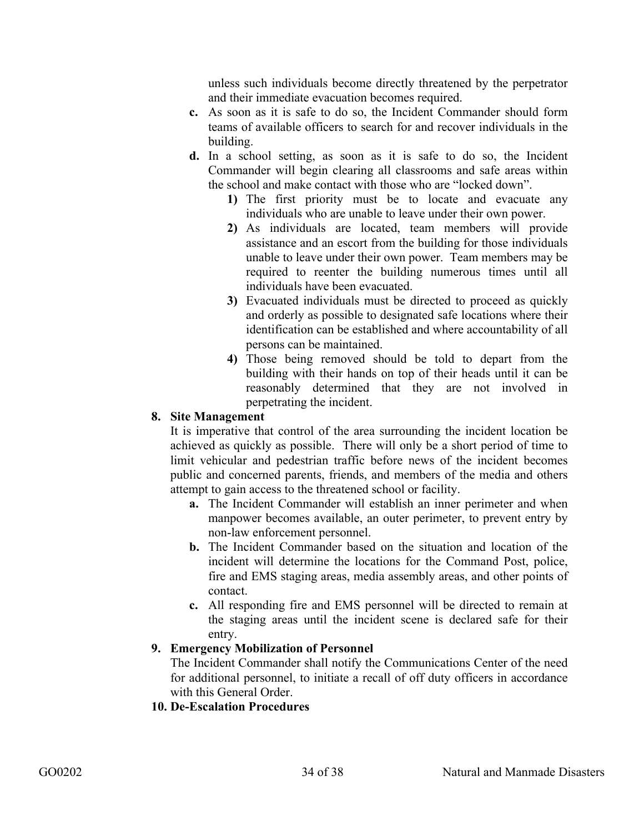unless such individuals become directly threatened by the perpetrator and their immediate evacuation becomes required.

- **c.** As soon as it is safe to do so, the Incident Commander should form teams of available officers to search for and recover individuals in the building.
- **d.** In a school setting, as soon as it is safe to do so, the Incident Commander will begin clearing all classrooms and safe areas within the school and make contact with those who are "locked down".
	- **1)** The first priority must be to locate and evacuate any individuals who are unable to leave under their own power.
	- **2)** As individuals are located, team members will provide assistance and an escort from the building for those individuals unable to leave under their own power. Team members may be required to reenter the building numerous times until all individuals have been evacuated.
	- **3)** Evacuated individuals must be directed to proceed as quickly and orderly as possible to designated safe locations where their identification can be established and where accountability of all persons can be maintained.
	- **4)** Those being removed should be told to depart from the building with their hands on top of their heads until it can be reasonably determined that they are not involved in perpetrating the incident.

## **8. Site Management**

It is imperative that control of the area surrounding the incident location be achieved as quickly as possible. There will only be a short period of time to limit vehicular and pedestrian traffic before news of the incident becomes public and concerned parents, friends, and members of the media and others attempt to gain access to the threatened school or facility.

- **a.** The Incident Commander will establish an inner perimeter and when manpower becomes available, an outer perimeter, to prevent entry by non-law enforcement personnel.
- **b.** The Incident Commander based on the situation and location of the incident will determine the locations for the Command Post, police, fire and EMS staging areas, media assembly areas, and other points of contact.
- **c.** All responding fire and EMS personnel will be directed to remain at the staging areas until the incident scene is declared safe for their entry.

#### **9. Emergency Mobilization of Personnel**

The Incident Commander shall notify the Communications Center of the need for additional personnel, to initiate a recall of off duty officers in accordance with this General Order.

**10. De-Escalation Procedures**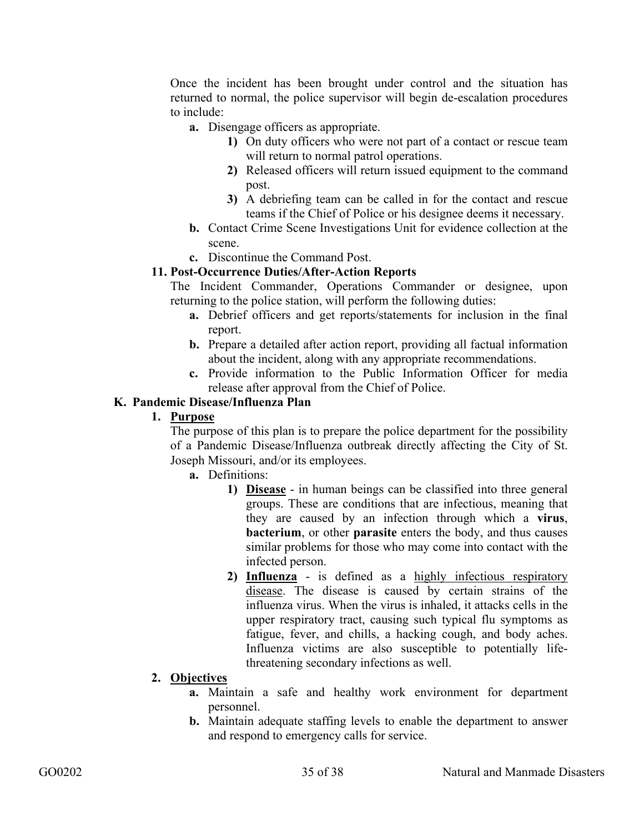Once the incident has been brought under control and the situation has returned to normal, the police supervisor will begin de-escalation procedures to include:

- **a.** Disengage officers as appropriate.
	- **1)** On duty officers who were not part of a contact or rescue team will return to normal patrol operations.
	- **2)** Released officers will return issued equipment to the command post.
	- **3)** A debriefing team can be called in for the contact and rescue teams if the Chief of Police or his designee deems it necessary.
- **b.** Contact Crime Scene Investigations Unit for evidence collection at the scene.
- **c.** Discontinue the Command Post.

#### **11. Post-Occurrence Duties/After-Action Reports**

The Incident Commander, Operations Commander or designee, upon returning to the police station, will perform the following duties:

- **a.** Debrief officers and get reports/statements for inclusion in the final report.
- **b.** Prepare a detailed after action report, providing all factual information about the incident, along with any appropriate recommendations.
- **c.** Provide information to the Public Information Officer for media release after approval from the Chief of Police.

#### **K. Pandemic Disease/Influenza Plan**

#### **1. Purpose**

The purpose of this plan is to prepare the police department for the possibility of a Pandemic Disease/Influenza outbreak directly affecting the City of St. Joseph Missouri, and/or its employees.

**a.** Definitions:

- **1) Disease** in human beings can be classified into three general groups. These are conditions that are infectious, meaning that they are caused by an infection through which a **virus**, **bacterium**, or other **parasite** enters the body, and thus causes similar problems for those who may come into contact with the infected person.
- **2) Influenza** is defined as a highly infectious respiratory disease. The disease is caused by certain strains of the influenza virus. When the virus is inhaled, it attacks cells in the upper respiratory tract, causing such typical flu symptoms as fatigue, fever, and chills, a hacking cough, and body aches. Influenza victims are also susceptible to potentially lifethreatening secondary infections as well.
- **2. Objectives**
	- **a.** Maintain a safe and healthy work environment for department personnel.
	- **b.** Maintain adequate staffing levels to enable the department to answer and respond to emergency calls for service.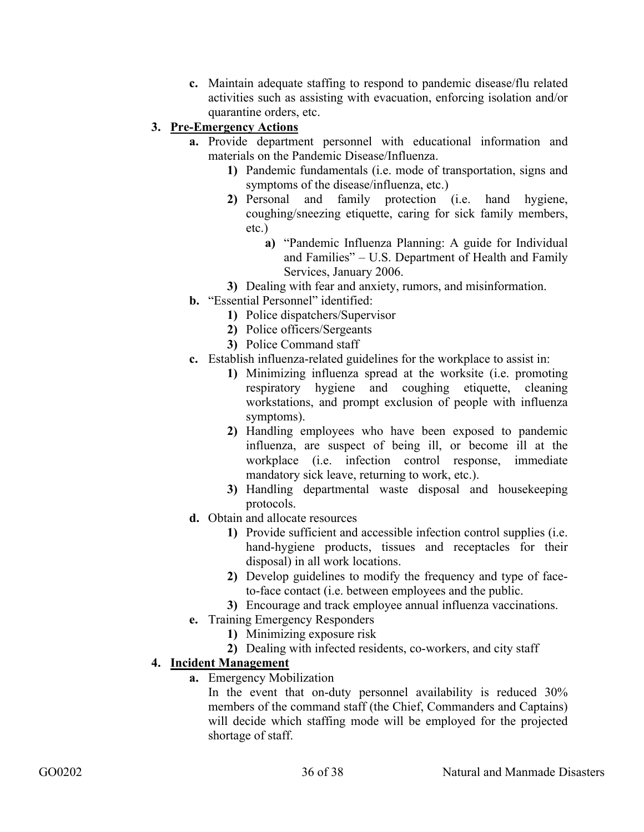**c.** Maintain adequate staffing to respond to pandemic disease/flu related activities such as assisting with evacuation, enforcing isolation and/or quarantine orders, etc.

# **3. Pre-Emergency Actions**

- **a.** Provide department personnel with educational information and materials on the Pandemic Disease/Influenza.
	- **1)** Pandemic fundamentals (i.e. mode of transportation, signs and symptoms of the disease/influenza, etc.)
	- **2)** Personal and family protection (i.e. hand hygiene, coughing/sneezing etiquette, caring for sick family members, etc.)
		- **a)** "Pandemic Influenza Planning: A guide for Individual and Families" – U.S. Department of Health and Family Services, January 2006.
	- **3)** Dealing with fear and anxiety, rumors, and misinformation.
- **b.** "Essential Personnel" identified:
	- **1)** Police dispatchers/Supervisor
	- **2)** Police officers/Sergeants
	- **3)** Police Command staff
- **c.** Establish influenza-related guidelines for the workplace to assist in:
	- **1)** Minimizing influenza spread at the worksite (i.e. promoting respiratory hygiene and coughing etiquette, cleaning workstations, and prompt exclusion of people with influenza symptoms).
	- **2)** Handling employees who have been exposed to pandemic influenza, are suspect of being ill, or become ill at the workplace (i.e. infection control response, immediate mandatory sick leave, returning to work, etc.).
	- **3)** Handling departmental waste disposal and housekeeping protocols.
- **d.** Obtain and allocate resources
	- **1)** Provide sufficient and accessible infection control supplies (i.e. hand-hygiene products, tissues and receptacles for their disposal) in all work locations.
	- **2)** Develop guidelines to modify the frequency and type of faceto-face contact (i.e. between employees and the public.
	- **3)** Encourage and track employee annual influenza vaccinations.
- **e.** Training Emergency Responders
	- **1)** Minimizing exposure risk
	- **2)** Dealing with infected residents, co-workers, and city staff

# **4. Incident Management**

**a.** Emergency Mobilization

In the event that on-duty personnel availability is reduced 30% members of the command staff (the Chief, Commanders and Captains) will decide which staffing mode will be employed for the projected shortage of staff.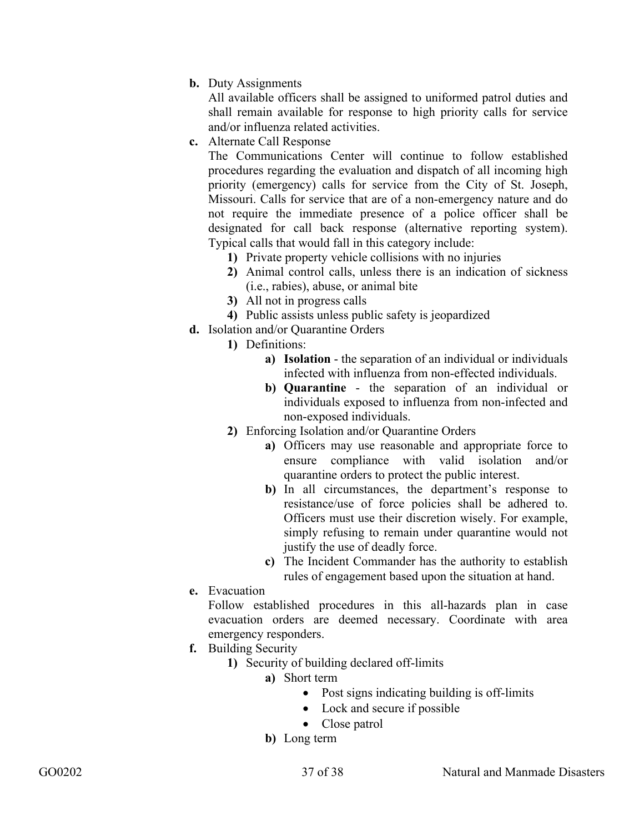**b.** Duty Assignments

All available officers shall be assigned to uniformed patrol duties and shall remain available for response to high priority calls for service and/or influenza related activities.

**c.** Alternate Call Response

The Communications Center will continue to follow established procedures regarding the evaluation and dispatch of all incoming high priority (emergency) calls for service from the City of St. Joseph, Missouri. Calls for service that are of a non-emergency nature and do not require the immediate presence of a police officer shall be designated for call back response (alternative reporting system). Typical calls that would fall in this category include:

- **1)** Private property vehicle collisions with no injuries
- **2)** Animal control calls, unless there is an indication of sickness (i.e., rabies), abuse, or animal bite
- **3)** All not in progress calls
- **4)** Public assists unless public safety is jeopardized
- **d.** Isolation and/or Quarantine Orders
	- **1)** Definitions:
		- **a) Isolation** the separation of an individual or individuals infected with influenza from non-effected individuals.
		- **b) Quarantine** the separation of an individual or individuals exposed to influenza from non-infected and non-exposed individuals.
	- **2)** Enforcing Isolation and/or Quarantine Orders
		- **a)** Officers may use reasonable and appropriate force to ensure compliance with valid isolation and/or quarantine orders to protect the public interest.
		- **b)** In all circumstances, the department's response to resistance/use of force policies shall be adhered to. Officers must use their discretion wisely. For example, simply refusing to remain under quarantine would not justify the use of deadly force.
		- **c)** The Incident Commander has the authority to establish rules of engagement based upon the situation at hand.
- **e.** Evacuation

Follow established procedures in this all-hazards plan in case evacuation orders are deemed necessary. Coordinate with area emergency responders.

- **f.** Building Security
	- **1)** Security of building declared off-limits
		- **a)** Short term
			- Post signs indicating building is off-limits
			- Lock and secure if possible
			- Close patrol
		- **b)** Long term